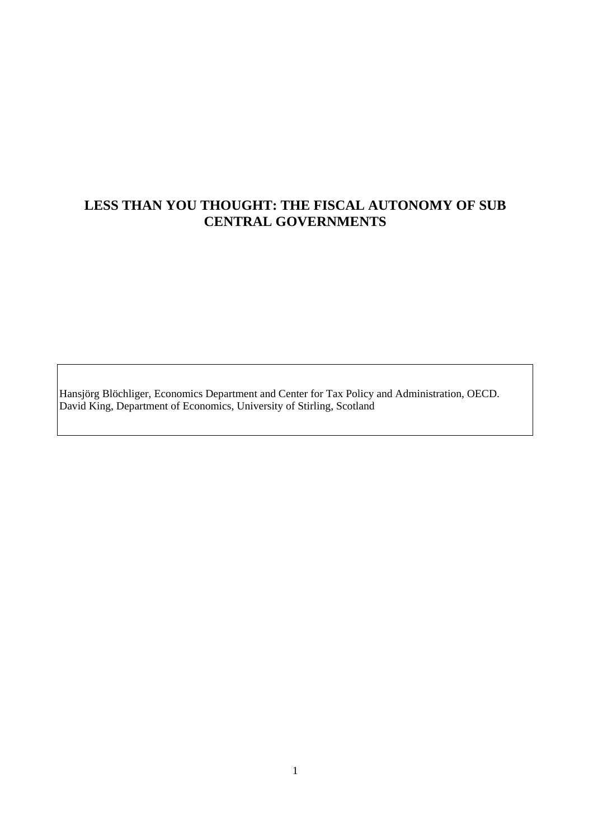# **LESS THAN YOU THOUGHT: THE FISCAL AUTONOMY OF SUB CENTRAL GOVERNMENTS**

Hansjörg Blöchliger, Economics Department and Center for Tax Policy and Administration, OECD. David King, Department of Economics, University of Stirling, Scotland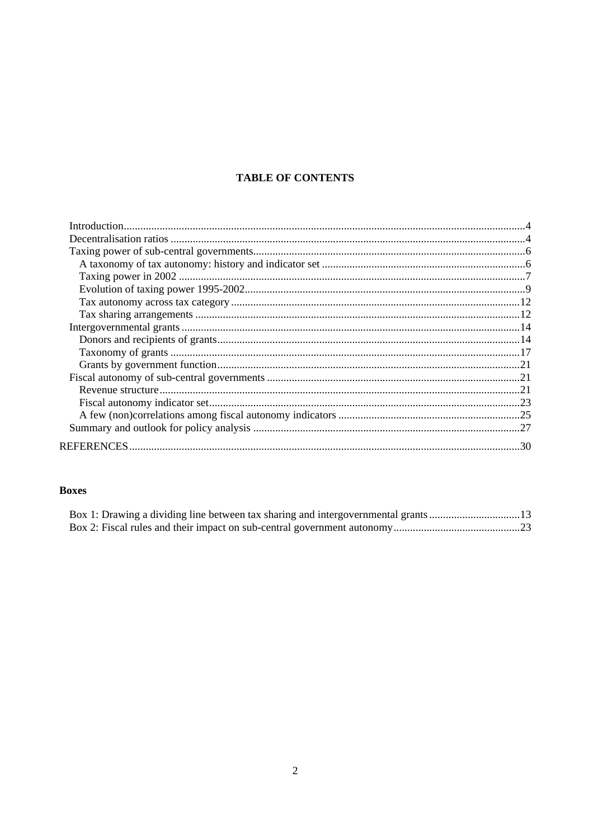## **TABLE OF CONTENTS**

## **Boxes**

| Box 1: Drawing a dividing line between tax sharing and intergovernmental grants13 |  |
|-----------------------------------------------------------------------------------|--|
|                                                                                   |  |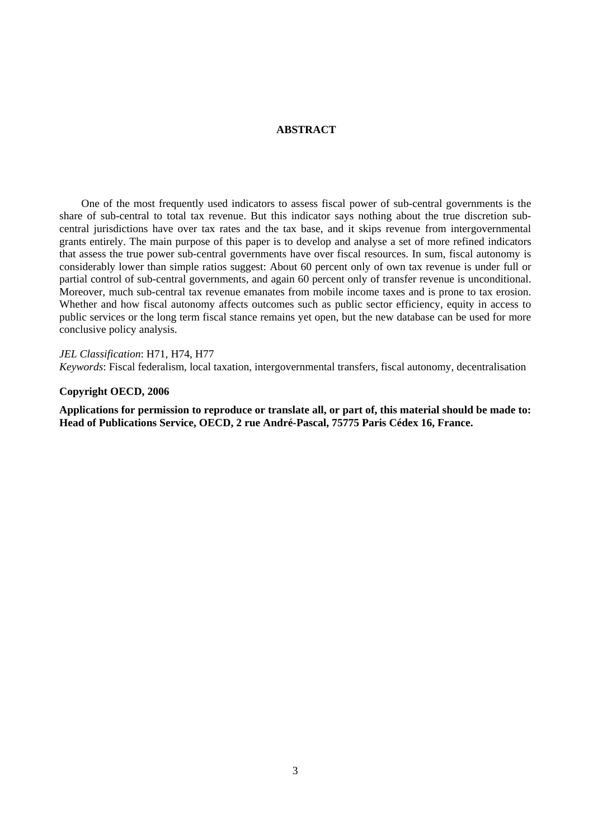### **ABSTRACT**

One of the most frequently used indicators to assess fiscal power of sub-central governments is the share of sub-central to total tax revenue. But this indicator says nothing about the true discretion subcentral jurisdictions have over tax rates and the tax base, and it skips revenue from intergovernmental grants entirely. The main purpose of this paper is to develop and analyse a set of more refined indicators that assess the true power sub-central governments have over fiscal resources. In sum, fiscal autonomy is considerably lower than simple ratios suggest: About 60 percent only of own tax revenue is under full or partial control of sub-central governments, and again 60 percent only of transfer revenue is unconditional. Moreover, much sub-central tax revenue emanates from mobile income taxes and is prone to tax erosion. Whether and how fiscal autonomy affects outcomes such as public sector efficiency, equity in access to public services or the long term fiscal stance remains yet open, but the new database can be used for more conclusive policy analysis.

*JEL Classification*: H71, H74, H77

*Keywords*: Fiscal federalism, local taxation, intergovernmental transfers, fiscal autonomy, decentralisation

#### **Copyright OECD, 2006**

**Applications for permission to reproduce or translate all, or part of, this material should be made to: Head of Publications Service, OECD, 2 rue André-Pascal, 75775 Paris Cédex 16, France.**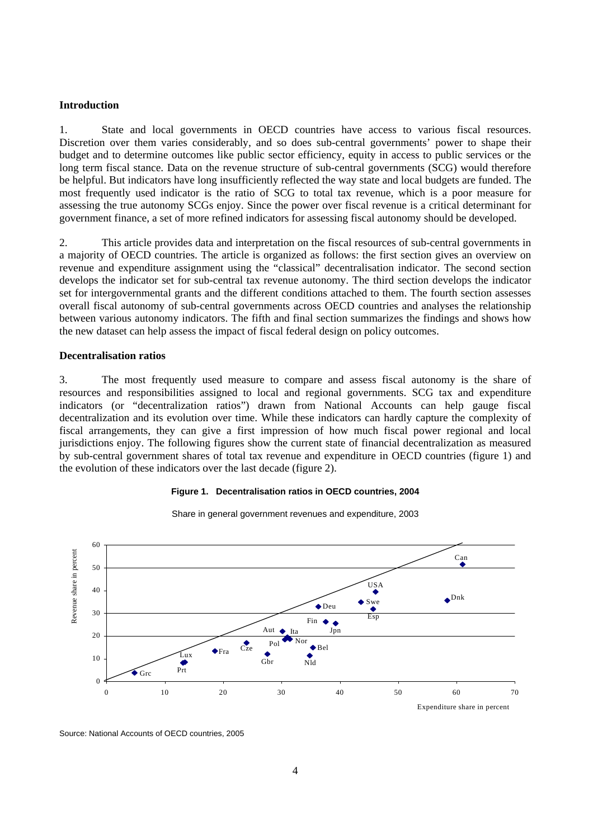#### <span id="page-3-0"></span>**Introduction**

1. State and local governments in OECD countries have access to various fiscal resources. Discretion over them varies considerably, and so does sub-central governments' power to shape their budget and to determine outcomes like public sector efficiency, equity in access to public services or the long term fiscal stance. Data on the revenue structure of sub-central governments (SCG) would therefore be helpful. But indicators have long insufficiently reflected the way state and local budgets are funded. The most frequently used indicator is the ratio of SCG to total tax revenue, which is a poor measure for assessing the true autonomy SCGs enjoy. Since the power over fiscal revenue is a critical determinant for government finance, a set of more refined indicators for assessing fiscal autonomy should be developed.

2. This article provides data and interpretation on the fiscal resources of sub-central governments in a majority of OECD countries. The article is organized as follows: the first section gives an overview on revenue and expenditure assignment using the "classical" decentralisation indicator. The second section develops the indicator set for sub-central tax revenue autonomy. The third section develops the indicator set for intergovernmental grants and the different conditions attached to them. The fourth section assesses overall fiscal autonomy of sub-central governments across OECD countries and analyses the relationship between various autonomy indicators. The fifth and final section summarizes the findings and shows how the new dataset can help assess the impact of fiscal federal design on policy outcomes.

#### **Decentralisation ratios**

3. The most frequently used measure to compare and assess fiscal autonomy is the share of resources and responsibilities assigned to local and regional governments. SCG tax and expenditure indicators (or "decentralization ratios") drawn from National Accounts can help gauge fiscal decentralization and its evolution over time. While these indicators can hardly capture the complexity of fiscal arrangements, they can give a first impression of how much fiscal power regional and local jurisdictions enjoy. The following figures show the current state of financial decentralization as measured by sub-central government shares of total tax revenue and expenditure in OECD countries (figure 1) and the evolution of these indicators over the last decade (figure 2).

#### **Figure 1. Decentralisation ratios in OECD countries, 2004**



Share in general government revenues and expenditure, 2003

Source: National Accounts of OECD countries, 2005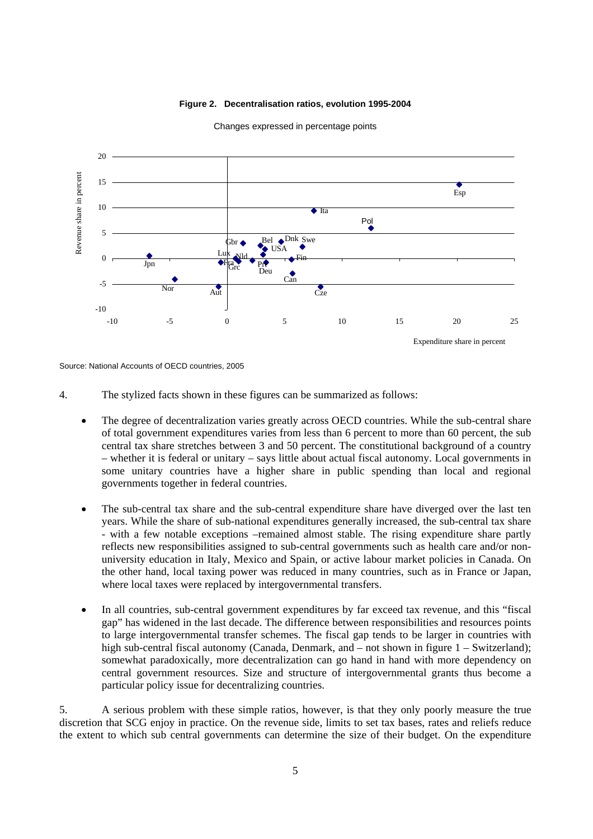#### **Figure 2. Decentralisation ratios, evolution 1995-2004**



Changes expressed in percentage points

Source: National Accounts of OECD countries, 2005

- 4. The stylized facts shown in these figures can be summarized as follows:
	- The degree of decentralization varies greatly across OECD countries. While the sub-central share of total government expenditures varies from less than 6 percent to more than 60 percent, the sub central tax share stretches between 3 and 50 percent. The constitutional background of a country – whether it is federal or unitary – says little about actual fiscal autonomy. Local governments in some unitary countries have a higher share in public spending than local and regional governments together in federal countries.
	- The sub-central tax share and the sub-central expenditure share have diverged over the last ten years. While the share of sub-national expenditures generally increased, the sub-central tax share - with a few notable exceptions –remained almost stable. The rising expenditure share partly reflects new responsibilities assigned to sub-central governments such as health care and/or nonuniversity education in Italy, Mexico and Spain, or active labour market policies in Canada. On the other hand, local taxing power was reduced in many countries, such as in France or Japan, where local taxes were replaced by intergovernmental transfers.
	- In all countries, sub-central government expenditures by far exceed tax revenue, and this "fiscal gap" has widened in the last decade. The difference between responsibilities and resources points to large intergovernmental transfer schemes. The fiscal gap tends to be larger in countries with high sub-central fiscal autonomy (Canada, Denmark, and – not shown in figure  $1$  – Switzerland); somewhat paradoxically, more decentralization can go hand in hand with more dependency on central government resources. Size and structure of intergovernmental grants thus become a particular policy issue for decentralizing countries.

5. A serious problem with these simple ratios, however, is that they only poorly measure the true discretion that SCG enjoy in practice. On the revenue side, limits to set tax bases, rates and reliefs reduce the extent to which sub central governments can determine the size of their budget. On the expenditure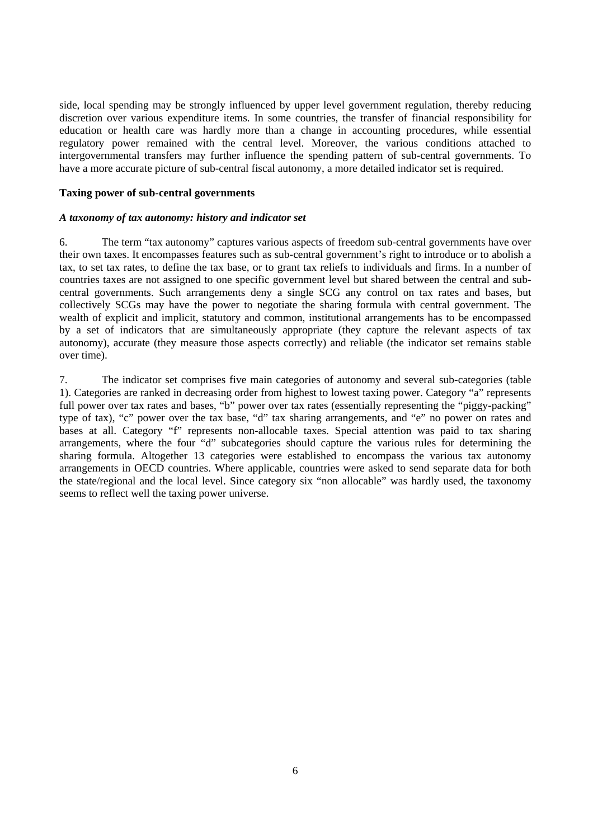<span id="page-5-0"></span>side, local spending may be strongly influenced by upper level government regulation, thereby reducing discretion over various expenditure items. In some countries, the transfer of financial responsibility for education or health care was hardly more than a change in accounting procedures, while essential regulatory power remained with the central level. Moreover, the various conditions attached to intergovernmental transfers may further influence the spending pattern of sub-central governments. To have a more accurate picture of sub-central fiscal autonomy, a more detailed indicator set is required.

#### **Taxing power of sub-central governments**

### *A taxonomy of tax autonomy: history and indicator set*

6. The term "tax autonomy" captures various aspects of freedom sub-central governments have over their own taxes. It encompasses features such as sub-central government's right to introduce or to abolish a tax, to set tax rates, to define the tax base, or to grant tax reliefs to individuals and firms. In a number of countries taxes are not assigned to one specific government level but shared between the central and subcentral governments. Such arrangements deny a single SCG any control on tax rates and bases, but collectively SCGs may have the power to negotiate the sharing formula with central government. The wealth of explicit and implicit, statutory and common, institutional arrangements has to be encompassed by a set of indicators that are simultaneously appropriate (they capture the relevant aspects of tax autonomy), accurate (they measure those aspects correctly) and reliable (the indicator set remains stable over time).

7. The indicator set comprises five main categories of autonomy and several sub-categories (table 1). Categories are ranked in decreasing order from highest to lowest taxing power. Category "a" represents full power over tax rates and bases, "b" power over tax rates (essentially representing the "piggy-packing" type of tax), "c" power over the tax base, "d" tax sharing arrangements, and "e" no power on rates and bases at all. Category "f" represents non-allocable taxes. Special attention was paid to tax sharing arrangements, where the four "d" subcategories should capture the various rules for determining the sharing formula. Altogether 13 categories were established to encompass the various tax autonomy arrangements in OECD countries. Where applicable, countries were asked to send separate data for both the state/regional and the local level. Since category six "non allocable" was hardly used, the taxonomy seems to reflect well the taxing power universe.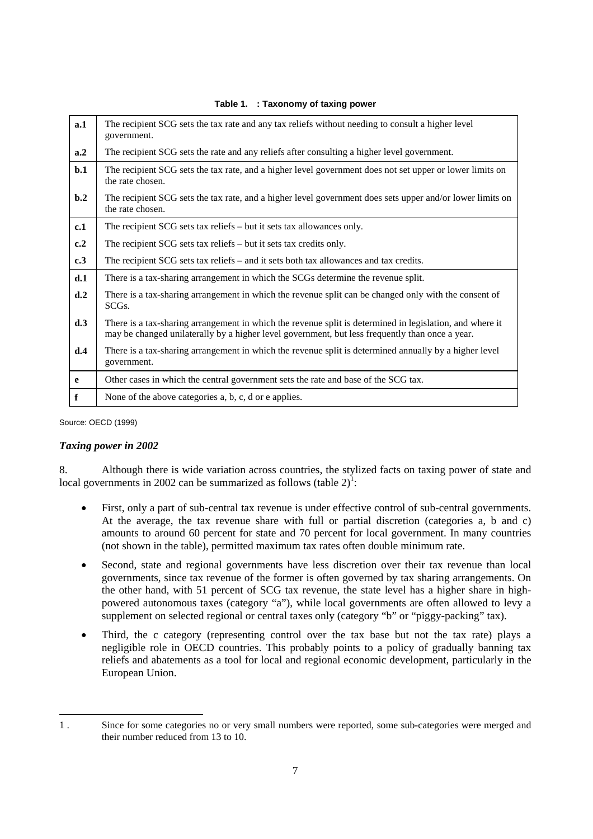<span id="page-6-0"></span>

| a.1                           | The recipient SCG sets the tax rate and any tax reliefs without needing to consult a higher level<br>government.                                                                                            |
|-------------------------------|-------------------------------------------------------------------------------------------------------------------------------------------------------------------------------------------------------------|
| a.2                           | The recipient SCG sets the rate and any reliefs after consulting a higher level government.                                                                                                                 |
| b.1                           | The recipient SCG sets the tax rate, and a higher level government does not set upper or lower limits on<br>the rate chosen.                                                                                |
| $\mathbf{b} \cdot \mathbf{2}$ | The recipient SCG sets the tax rate, and a higher level government does sets upper and/or lower limits on<br>the rate chosen.                                                                               |
| c.1                           | The recipient SCG sets tax reliefs – but it sets tax allowances only.                                                                                                                                       |
| c.2                           | The recipient SCG sets tax reliefs – but it sets tax credits only.                                                                                                                                          |
| c.3                           | The recipient SCG sets tax reliefs – and it sets both tax allowances and tax credits.                                                                                                                       |
| d.1                           | There is a tax-sharing arrangement in which the SCGs determine the revenue split.                                                                                                                           |
| d.2                           | There is a tax-sharing arrangement in which the revenue split can be changed only with the consent of<br>SCG <sub>s</sub> .                                                                                 |
| d.3                           | There is a tax-sharing arrangement in which the revenue split is determined in legislation, and where it<br>may be changed unilaterally by a higher level government, but less frequently than once a year. |
| d.4                           | There is a tax-sharing arrangement in which the revenue split is determined annually by a higher level<br>government.                                                                                       |
| e                             | Other cases in which the central government sets the rate and base of the SCG tax.                                                                                                                          |
| $\mathbf f$                   | None of the above categories a, b, c, d or e applies.                                                                                                                                                       |

#### **Table 1. : Taxonomy of taxing power**

Source: OECD (1999)

#### *Taxing power in 2002*

8. Although there is wide variation across countries, the stylized facts on taxing power of state and local governments in 2002 can be summarized as follows (table  $2$ )<sup>[1](#page-6-1)</sup>:

- First, only a part of sub-central tax revenue is under effective control of sub-central governments. At the average, the tax revenue share with full or partial discretion (categories a, b and c) amounts to around 60 percent for state and 70 percent for local government. In many countries (not shown in the table), permitted maximum tax rates often double minimum rate.
- Second, state and regional governments have less discretion over their tax revenue than local governments, since tax revenue of the former is often governed by tax sharing arrangements. On the other hand, with 51 percent of SCG tax revenue, the state level has a higher share in highpowered autonomous taxes (category "a"), while local governments are often allowed to levy a supplement on selected regional or central taxes only (category "b" or "piggy-packing" tax).
- Third, the c category (representing control over the tax base but not the tax rate) plays a negligible role in OECD countries. This probably points to a policy of gradually banning tax reliefs and abatements as a tool for local and regional economic development, particularly in the European Union.

<span id="page-6-1"></span><sup>1 .</sup> Since for some categories no or very small numbers were reported, some sub-categories were merged and their number reduced from 13 to 10.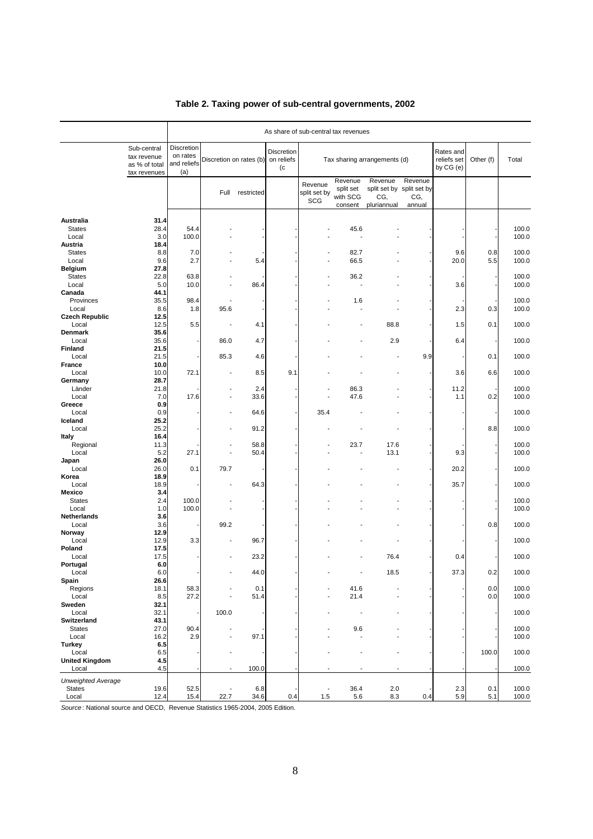|                                |                                                             |                                              | As share of sub-central tax revenues |              |                                       |                                |                                             |                                                            |                          |                                       |            |                |  |  |
|--------------------------------|-------------------------------------------------------------|----------------------------------------------|--------------------------------------|--------------|---------------------------------------|--------------------------------|---------------------------------------------|------------------------------------------------------------|--------------------------|---------------------------------------|------------|----------------|--|--|
|                                | Sub-central<br>tax revenue<br>as % of total<br>tax revenues | Discretion<br>on rates<br>and reliefs<br>(a) | Discretion on rates (b)              |              | <b>Discretion</b><br>on reliefs<br>(c | Tax sharing arrangements (d)   |                                             |                                                            |                          | Rates and<br>reliefs set<br>by CG (e) | Other (f)  | Total          |  |  |
|                                |                                                             |                                              | Full                                 | restricted   |                                       | Revenue<br>split set by<br>SCG | Revenue<br>split set<br>with SCG<br>consent | Revenue<br>split set by split set by<br>CG,<br>pluriannual | Revenue<br>CG,<br>annual |                                       |            |                |  |  |
| Australia                      | 31.4                                                        |                                              |                                      |              |                                       |                                |                                             |                                                            |                          |                                       |            |                |  |  |
| <b>States</b><br>Local         | 28.4<br>3.0                                                 | 54.4<br>100.0                                |                                      |              |                                       |                                | 45.6                                        |                                                            |                          |                                       |            | 100.0<br>100.0 |  |  |
| Austria                        | 18.4                                                        |                                              |                                      |              |                                       |                                |                                             |                                                            |                          |                                       |            |                |  |  |
| <b>States</b><br>Local         | 8.8<br>9.6                                                  | 7.0<br>2.7                                   |                                      | 5.4          |                                       |                                | 82.7<br>66.5                                |                                                            |                          | 9.6<br>20.0                           | 0.8<br>5.5 | 100.0<br>100.0 |  |  |
| <b>Belgium</b>                 | 27.8                                                        |                                              |                                      |              |                                       |                                |                                             |                                                            |                          |                                       |            |                |  |  |
| <b>States</b><br>Local         | 22.8                                                        | 63.8<br>10.0                                 |                                      | 86.4         |                                       |                                | 36.2                                        |                                                            |                          | 3.6                                   |            | 100.0          |  |  |
| Canada                         | 5.0<br>44.1                                                 |                                              |                                      |              |                                       |                                |                                             |                                                            |                          |                                       |            | 100.0          |  |  |
| Provinces                      | 35.5                                                        | 98.4                                         |                                      |              |                                       |                                | 1.6                                         |                                                            |                          |                                       |            | 100.0          |  |  |
| Local<br><b>Czech Republic</b> | 8.6<br>12.5                                                 | 1.8                                          | 95.6                                 |              |                                       |                                |                                             |                                                            |                          | 2.3                                   | 0.3        | 100.0          |  |  |
| Local                          | 12.5                                                        | 5.5                                          |                                      | 4.1          |                                       |                                |                                             | 88.8                                                       |                          | 1.5                                   | 0.1        | 100.0          |  |  |
| Denmark<br>Local               | 35.6<br>35.6                                                |                                              | 86.0                                 | 4.7          |                                       |                                |                                             | 2.9                                                        |                          | 6.4                                   |            | 100.0          |  |  |
| <b>Finland</b>                 | 21.5                                                        |                                              |                                      |              |                                       |                                |                                             |                                                            |                          |                                       |            |                |  |  |
| Local<br>France                | 21.5<br>10.0                                                |                                              | 85.3                                 | 4.6          |                                       |                                |                                             |                                                            | 9.9                      |                                       | 0.1        | 100.0          |  |  |
| Local                          | 10.0                                                        | 72.1                                         |                                      | 8.5          | 9.1                                   |                                |                                             |                                                            |                          | 3.6                                   | 6.6        | 100.0          |  |  |
| Germany                        | 28.7                                                        |                                              |                                      |              |                                       |                                |                                             |                                                            |                          |                                       |            |                |  |  |
| Länder<br>Local                | 21.8<br>7.0                                                 | 17.6                                         |                                      | 2.4<br>33.6  |                                       |                                | 86.3<br>47.6                                |                                                            |                          | 11.2<br>1.1                           | 0.2        | 100.0<br>100.0 |  |  |
| Greece                         | 0.9                                                         |                                              |                                      |              |                                       |                                |                                             |                                                            |                          |                                       |            |                |  |  |
| Local<br>Iceland               | 0.9<br>25.2                                                 |                                              |                                      | 64.6         |                                       | 35.4                           |                                             |                                                            |                          |                                       |            | 100.0          |  |  |
| Local                          | 25.2                                                        |                                              |                                      | 91.2         |                                       |                                |                                             |                                                            |                          |                                       | 8.8        | 100.0          |  |  |
| Italy                          | 16.4                                                        |                                              |                                      |              |                                       |                                |                                             |                                                            |                          |                                       |            |                |  |  |
| Regional<br>Local              | 11.3<br>5.2                                                 | 27.1                                         | $\overline{\phantom{a}}$             | 58.8<br>50.4 |                                       |                                | 23.7                                        | 17.6<br>13.1                                               |                          | 9.3                                   |            | 100.0<br>100.0 |  |  |
| Japan                          | 26.0                                                        |                                              |                                      |              |                                       |                                |                                             |                                                            |                          |                                       |            |                |  |  |
| Local<br>Korea                 | 26.0<br>18.9                                                | 0.1                                          | 79.7                                 |              |                                       |                                |                                             |                                                            |                          | 20.2                                  |            | 100.0          |  |  |
| Local                          | 18.9                                                        |                                              |                                      | 64.3         |                                       |                                |                                             |                                                            |                          | 35.7                                  |            | 100.0          |  |  |
| <b>Mexico</b><br><b>States</b> | 3.4<br>2.4                                                  | 100.0                                        |                                      |              |                                       |                                |                                             |                                                            |                          |                                       |            | 100.0          |  |  |
| Local                          | 1.0                                                         | 100.0                                        |                                      |              |                                       |                                |                                             |                                                            |                          |                                       |            | 100.0          |  |  |
| Netherlands                    | 3.6                                                         |                                              |                                      |              |                                       |                                |                                             |                                                            |                          |                                       |            |                |  |  |
| Local<br>Norway                | 3.6<br>12.9                                                 |                                              | 99.2                                 |              |                                       |                                |                                             |                                                            |                          |                                       | 0.8        | 100.0          |  |  |
| Local                          | 12.9                                                        | 3.3                                          |                                      | 96.7         |                                       |                                |                                             |                                                            |                          |                                       |            | 100.0          |  |  |
| Poland<br>Local                | 17.5<br>17.5                                                |                                              |                                      | 23.2         |                                       |                                |                                             | 76.4                                                       |                          | 0.4                                   |            | 100.0          |  |  |
| Portugal                       | 6.0                                                         |                                              |                                      |              |                                       |                                |                                             |                                                            |                          |                                       |            |                |  |  |
| Local<br>Spain                 | 6.0<br>26.6                                                 |                                              |                                      | 44.0         |                                       |                                |                                             | 18.5                                                       |                          | 37.3                                  | 0.2        | 100.0          |  |  |
| Regions                        | 18.1                                                        | 58.3                                         |                                      | 0.1          |                                       |                                | 41.6                                        |                                                            |                          |                                       | 0.0        | 100.0          |  |  |
| Local<br>Sweden                | 8.5<br>32.1                                                 | 27.2                                         |                                      | 51.4         |                                       |                                | 21.4                                        |                                                            |                          |                                       | 0.0        | 100.0          |  |  |
| Local                          | 32.1                                                        |                                              | 100.0                                |              |                                       |                                |                                             |                                                            |                          |                                       |            | 100.0          |  |  |
| Switzerland                    | 43.1                                                        |                                              |                                      |              |                                       |                                |                                             |                                                            |                          |                                       |            |                |  |  |
| <b>States</b><br>Local         | 27.0<br>16.2                                                | 90.4<br>2.9                                  |                                      | 97.1         |                                       |                                | 9.6<br>÷.                                   |                                                            |                          |                                       |            | 100.0<br>100.0 |  |  |
| <b>Turkey</b>                  | 6.5                                                         |                                              |                                      |              |                                       |                                |                                             |                                                            |                          |                                       |            |                |  |  |
| Local<br><b>United Kingdom</b> | 6.5<br>4.5                                                  |                                              |                                      |              |                                       |                                |                                             |                                                            |                          |                                       | 100.0      | 100.0          |  |  |
| Local                          | 4.5                                                         |                                              |                                      | 100.0        |                                       |                                |                                             |                                                            |                          |                                       |            | 100.0          |  |  |
| <b>Unweighted Average</b>      |                                                             |                                              |                                      |              |                                       |                                |                                             |                                                            |                          |                                       |            |                |  |  |
| <b>States</b>                  | 19.6                                                        | 52.5                                         |                                      | 6.8          |                                       | $\qquad \qquad \blacksquare$   | 36.4                                        | 2.0                                                        |                          | 2.3                                   | 0.1        | 100.0          |  |  |
| Local                          | 12.4                                                        | 15.4                                         | 22.7                                 | 34.6         | 0.4                                   | 1.5                            | 5.6                                         | 8.3                                                        | 0.4                      | 5.9                                   | 5.1        | 100.0          |  |  |

## **Table 2. Taxing power of sub-central governments, 2002**

*Source* : National source and OECD, Revenue Statistics 1965-2004, 2005 Edition.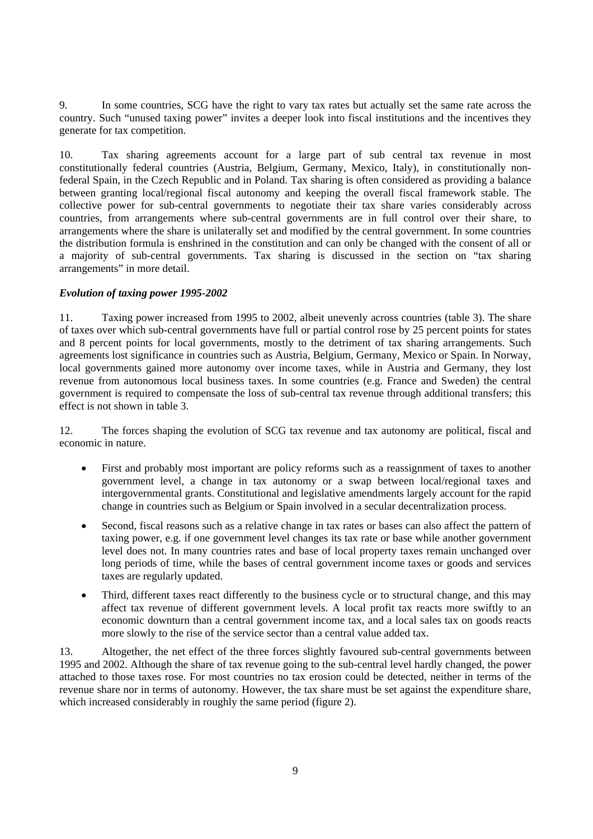<span id="page-8-0"></span>9. In some countries, SCG have the right to vary tax rates but actually set the same rate across the country. Such "unused taxing power" invites a deeper look into fiscal institutions and the incentives they generate for tax competition.

10. Tax sharing agreements account for a large part of sub central tax revenue in most constitutionally federal countries (Austria, Belgium, Germany, Mexico, Italy), in constitutionally nonfederal Spain, in the Czech Republic and in Poland. Tax sharing is often considered as providing a balance between granting local/regional fiscal autonomy and keeping the overall fiscal framework stable. The collective power for sub-central governments to negotiate their tax share varies considerably across countries, from arrangements where sub-central governments are in full control over their share, to arrangements where the share is unilaterally set and modified by the central government. In some countries the distribution formula is enshrined in the constitution and can only be changed with the consent of all or a majority of sub-central governments. Tax sharing is discussed in the section on "tax sharing arrangements" in more detail.

### *Evolution of taxing power 1995-2002*

11. Taxing power increased from 1995 to 2002, albeit unevenly across countries (table 3). The share of taxes over which sub-central governments have full or partial control rose by 25 percent points for states and 8 percent points for local governments, mostly to the detriment of tax sharing arrangements. Such agreements lost significance in countries such as Austria, Belgium, Germany, Mexico or Spain. In Norway, local governments gained more autonomy over income taxes, while in Austria and Germany, they lost revenue from autonomous local business taxes. In some countries (e.g. France and Sweden) the central government is required to compensate the loss of sub-central tax revenue through additional transfers; this effect is not shown in table 3.

12. The forces shaping the evolution of SCG tax revenue and tax autonomy are political, fiscal and economic in nature.

- First and probably most important are policy reforms such as a reassignment of taxes to another government level, a change in tax autonomy or a swap between local/regional taxes and intergovernmental grants. Constitutional and legislative amendments largely account for the rapid change in countries such as Belgium or Spain involved in a secular decentralization process.
- Second, fiscal reasons such as a relative change in tax rates or bases can also affect the pattern of taxing power, e.g. if one government level changes its tax rate or base while another government level does not. In many countries rates and base of local property taxes remain unchanged over long periods of time, while the bases of central government income taxes or goods and services taxes are regularly updated.
- Third, different taxes react differently to the business cycle or to structural change, and this may affect tax revenue of different government levels. A local profit tax reacts more swiftly to an economic downturn than a central government income tax, and a local sales tax on goods reacts more slowly to the rise of the service sector than a central value added tax.

13. Altogether, the net effect of the three forces slightly favoured sub-central governments between 1995 and 2002. Although the share of tax revenue going to the sub-central level hardly changed, the power attached to those taxes rose. For most countries no tax erosion could be detected, neither in terms of the revenue share nor in terms of autonomy. However, the tax share must be set against the expenditure share, which increased considerably in roughly the same period (figure 2).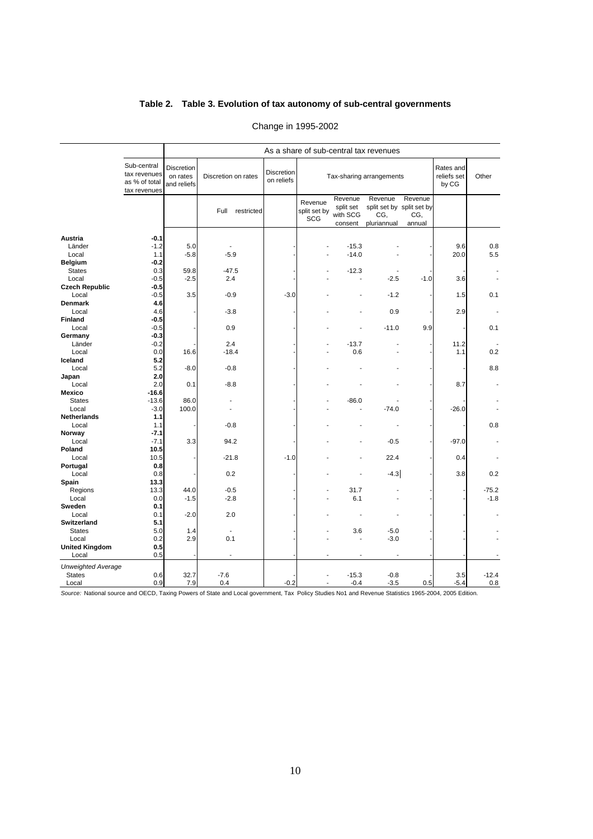### **Table 2. Table 3. Evolution of tax autonomy of sub-central governments**

|                           |                                                              | As a share of sub-central tax revenues       |                          |                                 |                                       |                                             |                                                            |                          |                                   |         |  |  |  |
|---------------------------|--------------------------------------------------------------|----------------------------------------------|--------------------------|---------------------------------|---------------------------------------|---------------------------------------------|------------------------------------------------------------|--------------------------|-----------------------------------|---------|--|--|--|
|                           |                                                              |                                              |                          |                                 |                                       |                                             |                                                            |                          |                                   |         |  |  |  |
|                           | Sub-central<br>tax revenues<br>as % of total<br>tax revenues | <b>Discretion</b><br>on rates<br>and reliefs | Discretion on rates      | <b>Discretion</b><br>on reliefs |                                       |                                             | Tax-sharing arrangements                                   |                          | Rates and<br>reliefs set<br>by CG | Other   |  |  |  |
|                           |                                                              |                                              | Full<br>restricted       |                                 | Revenue<br>split set by<br><b>SCG</b> | Revenue<br>split set<br>with SCG<br>consent | Revenue<br>split set by split set by<br>CG,<br>pluriannual | Revenue<br>CG,<br>annual |                                   |         |  |  |  |
| Austria                   | $-0.1$                                                       |                                              |                          |                                 |                                       |                                             |                                                            |                          |                                   |         |  |  |  |
| Länder                    | $-1.2$                                                       | 5.0                                          |                          |                                 |                                       | $-15.3$                                     |                                                            |                          | 9.6                               | 0.8     |  |  |  |
| Local                     | 1.1                                                          | $-5.8$                                       | $-5.9$                   |                                 |                                       | $-14.0$                                     |                                                            |                          | 20.0                              | 5.5     |  |  |  |
| <b>Belgium</b>            | $-0.2$                                                       |                                              |                          |                                 |                                       |                                             |                                                            |                          |                                   |         |  |  |  |
| <b>States</b>             | 0.3                                                          | 59.8                                         | $-47.5$                  |                                 |                                       | $-12.3$                                     |                                                            |                          |                                   | ٠       |  |  |  |
| Local                     | $-0.5$                                                       | $-2.5$                                       | 2.4                      |                                 |                                       |                                             | $-2.5$                                                     | $-1.0$                   | 3.6                               | ä,      |  |  |  |
| <b>Czech Republic</b>     | $-0.5$                                                       |                                              |                          |                                 |                                       |                                             |                                                            |                          |                                   |         |  |  |  |
| Local                     | $-0.5$                                                       | 3.5                                          | $-0.9$                   | $-3.0$                          |                                       |                                             | $-1.2$                                                     |                          | 1.5                               | 0.1     |  |  |  |
| Denmark                   | 4.6                                                          |                                              |                          |                                 |                                       |                                             |                                                            |                          |                                   |         |  |  |  |
| Local                     | 4.6                                                          |                                              | $-3.8$                   |                                 |                                       |                                             | 0.9                                                        |                          | 2.9                               |         |  |  |  |
| Finland                   | $-0.5$                                                       |                                              |                          |                                 |                                       |                                             |                                                            |                          |                                   |         |  |  |  |
| Local                     | $-0.5$                                                       |                                              | 0.9                      |                                 |                                       |                                             | $-11.0$                                                    | 9.9                      |                                   | 0.1     |  |  |  |
| Germany                   | $-0.3$                                                       |                                              |                          |                                 |                                       |                                             |                                                            |                          |                                   |         |  |  |  |
| Länder                    | $-0.2$                                                       |                                              | 2.4                      |                                 |                                       | $-13.7$                                     |                                                            |                          | 11.2                              |         |  |  |  |
| Local                     | 0.0                                                          | 16.6                                         | $-18.4$                  |                                 |                                       | 0.6                                         |                                                            |                          | 1.1                               | 0.2     |  |  |  |
| Iceland                   | 5.2                                                          |                                              |                          |                                 |                                       |                                             |                                                            |                          |                                   |         |  |  |  |
| Local                     | 5.2                                                          | $-8.0$                                       | $-0.8$                   |                                 |                                       |                                             |                                                            |                          |                                   | 8.8     |  |  |  |
| Japan                     | 2.0                                                          |                                              |                          |                                 |                                       |                                             |                                                            |                          |                                   |         |  |  |  |
| Local                     | 2.0                                                          | 0.1                                          | $-8.8$                   |                                 |                                       |                                             |                                                            |                          | 8.7                               |         |  |  |  |
| Mexico                    | $-16.6$                                                      |                                              |                          |                                 |                                       |                                             |                                                            |                          |                                   |         |  |  |  |
| <b>States</b>             | $-13.6$                                                      | 86.0                                         | ÷                        |                                 |                                       | $-86.0$                                     |                                                            |                          |                                   |         |  |  |  |
| Local                     | $-3.0$                                                       | 100.0                                        | ÷,                       |                                 |                                       |                                             | $-74.0$                                                    |                          | $-26.0$                           |         |  |  |  |
| <b>Netherlands</b>        | 1.1                                                          |                                              |                          |                                 |                                       |                                             |                                                            |                          |                                   |         |  |  |  |
| Local                     | 1.1                                                          |                                              | $-0.8$                   |                                 |                                       |                                             |                                                            |                          |                                   | 0.8     |  |  |  |
| Norway                    | $-7.1$                                                       |                                              |                          |                                 |                                       |                                             |                                                            |                          |                                   |         |  |  |  |
| Local                     | $-7.1$                                                       | 3.3                                          | 94.2                     |                                 |                                       |                                             | $-0.5$                                                     |                          | $-97.0$                           |         |  |  |  |
| Poland                    | 10.5                                                         |                                              |                          |                                 |                                       |                                             |                                                            |                          |                                   |         |  |  |  |
| Local                     | 10.5                                                         |                                              | $-21.8$                  | $-1.0$                          |                                       |                                             | 22.4                                                       |                          | 0.4                               |         |  |  |  |
| Portugal                  | 0.8                                                          |                                              |                          |                                 |                                       |                                             |                                                            |                          |                                   |         |  |  |  |
| Local                     | 0.8<br>13.3                                                  |                                              | 0.2                      |                                 |                                       |                                             | $-4.3$                                                     |                          | 3.8                               | 0.2     |  |  |  |
| Spain<br>Regions          | 13.3                                                         | 44.0                                         | $-0.5$                   |                                 |                                       | 31.7                                        |                                                            |                          |                                   | $-75.2$ |  |  |  |
| Local                     | 0.0                                                          | $-1.5$                                       | $-2.8$                   |                                 |                                       | 6.1                                         |                                                            |                          |                                   | $-1.8$  |  |  |  |
| Sweden                    | 0.1                                                          |                                              |                          |                                 |                                       |                                             |                                                            |                          |                                   |         |  |  |  |
| Local                     | 0.1                                                          | $-2.0$                                       | 2.0                      |                                 |                                       |                                             |                                                            |                          |                                   |         |  |  |  |
| <b>Switzerland</b>        | 5.1                                                          |                                              |                          |                                 |                                       |                                             |                                                            |                          |                                   |         |  |  |  |
| <b>States</b>             | 5.0                                                          | 1.4                                          | $\overline{\phantom{a}}$ |                                 |                                       | 3.6                                         | $-5.0$                                                     |                          |                                   |         |  |  |  |
| Local                     | 0.2                                                          | 2.9                                          | 0.1                      |                                 |                                       |                                             | $-3.0$                                                     |                          |                                   |         |  |  |  |
| <b>United Kingdom</b>     | 0.5                                                          |                                              |                          |                                 |                                       |                                             |                                                            |                          |                                   |         |  |  |  |
| Local                     | 0.5                                                          |                                              |                          |                                 |                                       |                                             |                                                            |                          |                                   |         |  |  |  |
| <b>Unweighted Average</b> |                                                              |                                              |                          |                                 |                                       |                                             |                                                            |                          |                                   |         |  |  |  |
| <b>States</b>             | 0.6                                                          | 32.7                                         | $-7.6$                   |                                 |                                       | $-15.3$                                     | $-0.8$                                                     |                          | 3.5                               | $-12.4$ |  |  |  |
| Local                     | 0.9                                                          | 7.9                                          | 0.4                      | $-0.2$                          |                                       | $-0.4$                                      | $-3.5$                                                     | 0.5                      | $-5.4$                            | 0.8     |  |  |  |

### Change in 1995-2002

*Source:* National source and OECD, Taxing Powers of State and Local government, Tax Policy Studies No1 and Revenue Statistics 1965-2004, 2005 Edition.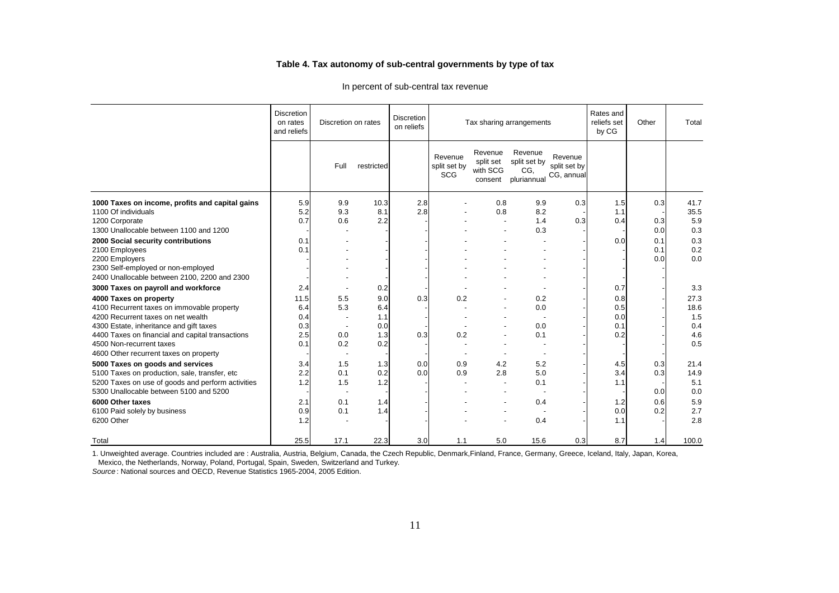#### **Table 4. Tax autonomy of sub-central governments by type of tax**

|                                                                                                                                                                                  | <b>Discretion</b><br>on rates<br>and reliefs | Discretion on rates                           |                    | <b>Discretion</b><br>on reliefs |                                       |                                             | Tax sharing arrangements                      |                                       | Rates and<br>reliefs set<br>by CG | Other                    | Total                      |
|----------------------------------------------------------------------------------------------------------------------------------------------------------------------------------|----------------------------------------------|-----------------------------------------------|--------------------|---------------------------------|---------------------------------------|---------------------------------------------|-----------------------------------------------|---------------------------------------|-----------------------------------|--------------------------|----------------------------|
|                                                                                                                                                                                  |                                              | Full                                          | restricted         |                                 | Revenue<br>split set by<br><b>SCG</b> | Revenue<br>split set<br>with SCG<br>consent | Revenue<br>split set by<br>CG.<br>pluriannua  | Revenue<br>split set by<br>CG. annual |                                   |                          |                            |
| 1000 Taxes on income, profits and capital gains<br>1100 Of individuals<br>1200 Corporate<br>1300 Unallocable between 1100 and 1200                                               | 5.9<br>5.2<br>0.7                            | 9.9<br>9.3<br>0.6                             | 10.3<br>8.1<br>2.2 | 2.8<br>2.8                      |                                       | 0.8<br>0.8<br>$\overline{a}$                | 9.9<br>8.2<br>1.4                             | 0.3<br>0.3                            | 1.5<br>1.1<br>0.4                 | 0.3<br>0.3               | 41.7<br>35.5<br>5.9        |
| 2000 Social security contributions<br>2100 Employees<br>2200 Employers<br>2300 Self-employed or non-employed                                                                     | 0.1<br>0.1                                   |                                               |                    |                                 |                                       |                                             | 0.3                                           |                                       | 0.0                               | 0.0<br>0.1<br>0.1<br>0.0 | 0.3<br>0.3<br>0.2<br>0.0   |
| 2400 Unallocable between 2100, 2200 and 2300<br>3000 Taxes on payroll and workforce<br>4000 Taxes on property                                                                    | 2.4<br>11.5                                  | 5.5                                           | 0.2<br>9.0         | 0.3                             | 0.2                                   |                                             | 0.2                                           |                                       | 0.7<br>0.8                        |                          | 3.3<br>27.3                |
| 4100 Recurrent taxes on immovable property<br>4200 Recurrent taxes on net wealth<br>4300 Estate, inheritance and gift taxes                                                      | 6.4<br>0.4<br>0.3                            | 5.3                                           | 6.4<br>1.1<br>0.0  |                                 |                                       |                                             | 0.0<br>0.0                                    |                                       | 0.5<br>0.0<br>0.1                 |                          | 18.6<br>1.5<br>0.4         |
| 4400 Taxes on financial and capital transactions<br>4500 Non-recurrent taxes<br>4600 Other recurrent taxes on property                                                           | 2.5<br>0.1                                   | 0.0<br>0.2<br>$\overline{\phantom{a}}$        | 1.3<br>0.2         | 0.3                             | 0.2                                   |                                             | 0.1                                           |                                       | 0.2                               |                          | 4.6<br>0.5                 |
| 5000 Taxes on goods and services<br>5100 Taxes on production, sale, transfer, etc<br>5200 Taxes on use of goods and perform activities<br>5300 Unallocable between 5100 and 5200 | 3.4<br>2.2<br>1.2                            | 1.5<br>0.1<br>1.5<br>$\overline{\phantom{a}}$ | 1.3<br>0.2<br>1.2  | 0.0<br>0.0                      | 0.9<br>0.9                            | 4.2<br>2.8<br>$\overline{a}$                | 5.2<br>5.0<br>0.1<br>$\overline{\phantom{a}}$ |                                       | 4.5<br>3.4<br>1.1                 | 0.3<br>0.3<br>0.0        | 21.4<br>14.9<br>5.1<br>0.0 |
| 6000 Other taxes<br>6100 Paid solely by business<br>6200 Other                                                                                                                   | 2.1<br>0.9<br>1.2                            | 0.1<br>0.1                                    | 1.4<br>1.4         |                                 |                                       |                                             | 0.4<br>$\overline{\phantom{a}}$<br>0.4        |                                       | 1.2<br>0.0<br>1.1                 | 0.6<br>0.2               | 5.9<br>2.7<br>2.8          |
| Total                                                                                                                                                                            | 25.5                                         | 17.1                                          | 22.3               | 3.0                             | 1.1                                   | 5.0                                         | 15.6                                          | 0.3                                   | 8.7                               | 1.4                      | 100.0                      |

In percent of sub-central tax revenue

1. Unweighted average. Countries included are : Australia, Austria, Belgium, Canada, the Czech Republic, Denmark,Finland, France, Germany, Greece, Iceland, Italy, Japan, Korea, Mexico, the Netherlands, Norway, Poland, Portugal, Spain, Sweden, Switzerland and Turkey.

*Source* : National sources and OECD, Revenue Statistics 1965-2004, 2005 Edition.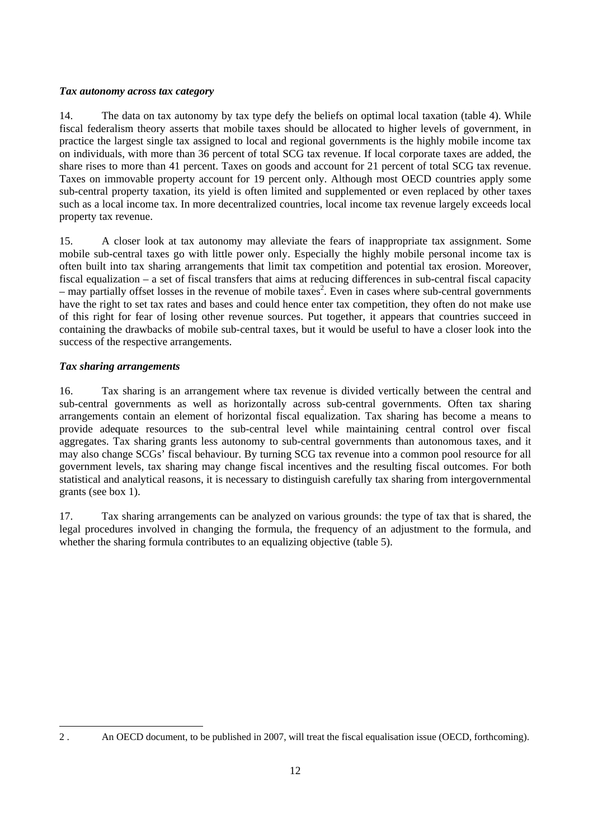## <span id="page-11-0"></span>*Tax autonomy across tax category*

14. The data on tax autonomy by tax type defy the beliefs on optimal local taxation (table 4). While fiscal federalism theory asserts that mobile taxes should be allocated to higher levels of government, in practice the largest single tax assigned to local and regional governments is the highly mobile income tax on individuals, with more than 36 percent of total SCG tax revenue. If local corporate taxes are added, the share rises to more than 41 percent. Taxes on goods and account for 21 percent of total SCG tax revenue. Taxes on immovable property account for 19 percent only. Although most OECD countries apply some sub-central property taxation, its yield is often limited and supplemented or even replaced by other taxes such as a local income tax. In more decentralized countries, local income tax revenue largely exceeds local property tax revenue.

15. A closer look at tax autonomy may alleviate the fears of inappropriate tax assignment. Some mobile sub-central taxes go with little power only. Especially the highly mobile personal income tax is often built into tax sharing arrangements that limit tax competition and potential tax erosion. Moreover, fiscal equalization – a set of fiscal transfers that aims at reducing differences in sub-central fiscal capacity  $-$  may partially offset losses in the revenue of mobile taxes<sup>[2](#page-11-1)</sup>. Even in cases where sub-central governments have the right to set tax rates and bases and could hence enter tax competition, they often do not make use of this right for fear of losing other revenue sources. Put together, it appears that countries succeed in containing the drawbacks of mobile sub-central taxes, but it would be useful to have a closer look into the success of the respective arrangements.

## *Tax sharing arrangements*

16. Tax sharing is an arrangement where tax revenue is divided vertically between the central and sub-central governments as well as horizontally across sub-central governments. Often tax sharing arrangements contain an element of horizontal fiscal equalization. Tax sharing has become a means to provide adequate resources to the sub-central level while maintaining central control over fiscal aggregates. Tax sharing grants less autonomy to sub-central governments than autonomous taxes, and it may also change SCGs' fiscal behaviour. By turning SCG tax revenue into a common pool resource for all government levels, tax sharing may change fiscal incentives and the resulting fiscal outcomes. For both statistical and analytical reasons, it is necessary to distinguish carefully tax sharing from intergovernmental grants (see box 1).

17. Tax sharing arrangements can be analyzed on various grounds: the type of tax that is shared, the legal procedures involved in changing the formula, the frequency of an adjustment to the formula, and whether the sharing formula contributes to an equalizing objective (table 5).

<span id="page-11-1"></span> $\overline{a}$ 2 . An OECD document, to be published in 2007, will treat the fiscal equalisation issue (OECD, forthcoming).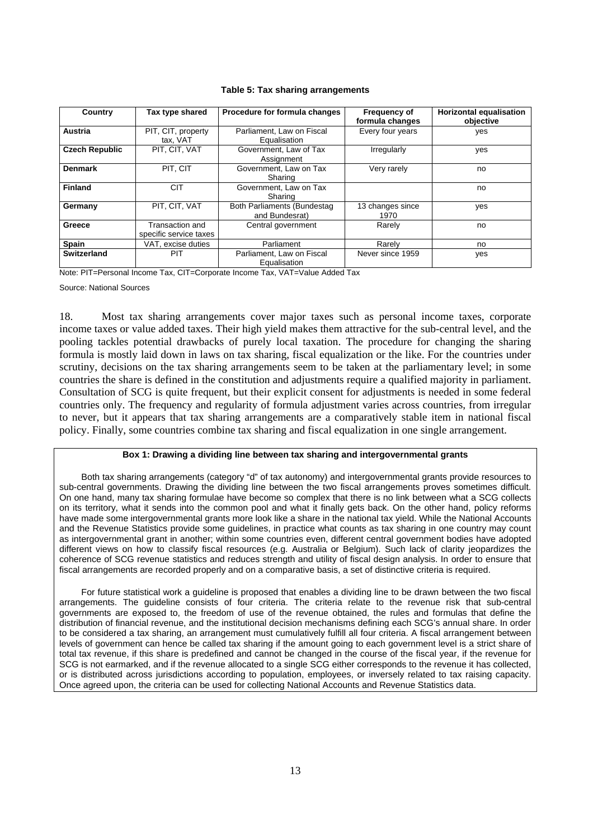<span id="page-12-0"></span>

| Country               | Tax type shared                           | Procedure for formula changes                 | <b>Frequency of</b><br>formula changes | <b>Horizontal equalisation</b><br>objective |
|-----------------------|-------------------------------------------|-----------------------------------------------|----------------------------------------|---------------------------------------------|
| Austria               | PIT, CIT, property<br>tax, VAT            | Parliament, Law on Fiscal<br>Equalisation     | Every four years                       | yes                                         |
| <b>Czech Republic</b> | PIT, CIT, VAT                             | Government, Law of Tax<br>Assignment          | Irregularly                            | yes                                         |
| <b>Denmark</b>        | PIT, CIT                                  | Government, Law on Tax<br>Sharing             | Very rarely                            | no                                          |
| <b>Finland</b>        | <b>CIT</b>                                | Government, Law on Tax<br>Sharing             |                                        | no                                          |
| Germany               | PIT. CIT. VAT                             | Both Parliaments (Bundestag<br>and Bundesrat) | 13 changes since<br>1970               | yes                                         |
| Greece                | Transaction and<br>specific service taxes | Central government                            | Rarely                                 | no                                          |
| <b>Spain</b>          | VAT, excise duties                        | Parliament                                    | Rarely                                 | no                                          |
| Switzerland           | PIT                                       | Parliament, Law on Fiscal<br>Equalisation     | Never since 1959                       | yes                                         |

#### **Table 5: Tax sharing arrangements**

Note: PIT=Personal Income Tax, CIT=Corporate Income Tax, VAT=Value Added Tax

Source: National Sources

18. Most tax sharing arrangements cover major taxes such as personal income taxes, corporate income taxes or value added taxes. Their high yield makes them attractive for the sub-central level, and the pooling tackles potential drawbacks of purely local taxation. The procedure for changing the sharing formula is mostly laid down in laws on tax sharing, fiscal equalization or the like. For the countries under scrutiny, decisions on the tax sharing arrangements seem to be taken at the parliamentary level; in some countries the share is defined in the constitution and adjustments require a qualified majority in parliament. Consultation of SCG is quite frequent, but their explicit consent for adjustments is needed in some federal countries only. The frequency and regularity of formula adjustment varies across countries, from irregular to never, but it appears that tax sharing arrangements are a comparatively stable item in national fiscal policy. Finally, some countries combine tax sharing and fiscal equalization in one single arrangement.

#### **Box 1: Drawing a dividing line between tax sharing and intergovernmental grants**

Both tax sharing arrangements (category "d" of tax autonomy) and intergovernmental grants provide resources to sub-central governments. Drawing the dividing line between the two fiscal arrangements proves sometimes difficult. On one hand, many tax sharing formulae have become so complex that there is no link between what a SCG collects on its territory, what it sends into the common pool and what it finally gets back. On the other hand, policy reforms have made some intergovernmental grants more look like a share in the national tax yield. While the National Accounts and the Revenue Statistics provide some guidelines, in practice what counts as tax sharing in one country may count as intergovernmental grant in another; within some countries even, different central government bodies have adopted different views on how to classify fiscal resources (e.g. Australia or Belgium). Such lack of clarity jeopardizes the coherence of SCG revenue statistics and reduces strength and utility of fiscal design analysis. In order to ensure that fiscal arrangements are recorded properly and on a comparative basis, a set of distinctive criteria is required.

For future statistical work a guideline is proposed that enables a dividing line to be drawn between the two fiscal arrangements. The guideline consists of four criteria. The criteria relate to the revenue risk that sub-central governments are exposed to, the freedom of use of the revenue obtained, the rules and formulas that define the distribution of financial revenue, and the institutional decision mechanisms defining each SCG's annual share. In order to be considered a tax sharing, an arrangement must cumulatively fulfill all four criteria. A fiscal arrangement between levels of government can hence be called tax sharing if the amount going to each government level is a strict share of total tax revenue, if this share is predefined and cannot be changed in the course of the fiscal year, if the revenue for SCG is not earmarked, and if the revenue allocated to a single SCG either corresponds to the revenue it has collected, or is distributed across jurisdictions according to population, employees, or inversely related to tax raising capacity. Once agreed upon, the criteria can be used for collecting National Accounts and Revenue Statistics data.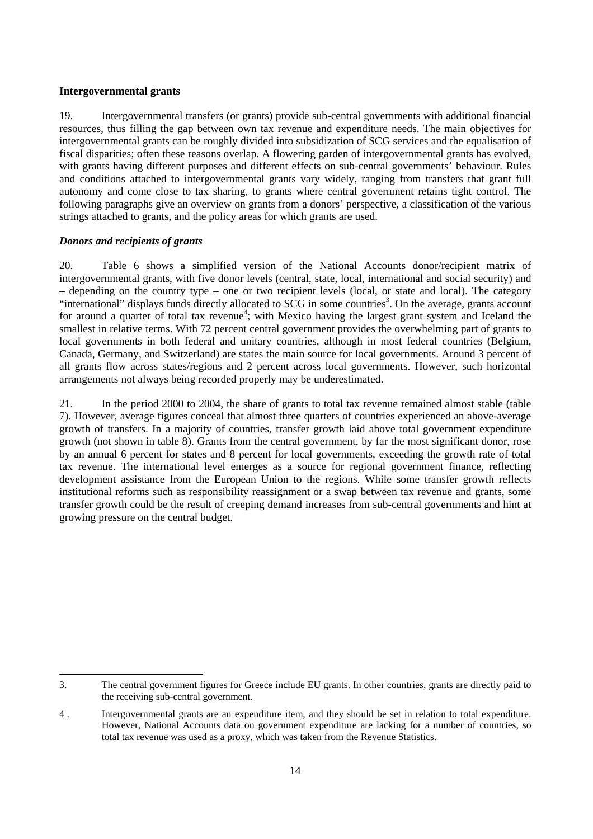#### <span id="page-13-0"></span>**Intergovernmental grants**

19. Intergovernmental transfers (or grants) provide sub-central governments with additional financial resources, thus filling the gap between own tax revenue and expenditure needs. The main objectives for intergovernmental grants can be roughly divided into subsidization of SCG services and the equalisation of fiscal disparities; often these reasons overlap. A flowering garden of intergovernmental grants has evolved, with grants having different purposes and different effects on sub-central governments' behaviour. Rules and conditions attached to intergovernmental grants vary widely, ranging from transfers that grant full autonomy and come close to tax sharing, to grants where central government retains tight control. The following paragraphs give an overview on grants from a donors' perspective, a classification of the various strings attached to grants, and the policy areas for which grants are used.

## *Donors and recipients of grants*

20. Table 6 shows a simplified version of the National Accounts donor/recipient matrix of intergovernmental grants, with five donor levels (central, state, local, international and social security) and – depending on the country type – one or two recipient levels (local, or state and local). The category "international" displays funds directly allocated to SCG in some countries<sup>3</sup>. On the average, grants account for around a quarter of total tax revenue<sup>[4](#page-13-2)</sup>; with Mexico having the largest grant system and Iceland the smallest in relative terms. With 72 percent central government provides the overwhelming part of grants to local governments in both federal and unitary countries, although in most federal countries (Belgium, Canada, Germany, and Switzerland) are states the main source for local governments. Around 3 percent of all grants flow across states/regions and 2 percent across local governments. However, such horizontal arrangements not always being recorded properly may be underestimated.

21. In the period 2000 to 2004, the share of grants to total tax revenue remained almost stable (table 7). However, average figures conceal that almost three quarters of countries experienced an above-average growth of transfers. In a majority of countries, transfer growth laid above total government expenditure growth (not shown in table 8). Grants from the central government, by far the most significant donor, rose by an annual 6 percent for states and 8 percent for local governments, exceeding the growth rate of total tax revenue. The international level emerges as a source for regional government finance, reflecting development assistance from the European Union to the regions. While some transfer growth reflects institutional reforms such as responsibility reassignment or a swap between tax revenue and grants, some transfer growth could be the result of creeping demand increases from sub-central governments and hint at growing pressure on the central budget.

<span id="page-13-1"></span> 3. The central government figures for Greece include EU grants. In other countries, grants are directly paid to the receiving sub-central government.

<span id="page-13-2"></span><sup>4</sup> . Intergovernmental grants are an expenditure item, and they should be set in relation to total expenditure. However, National Accounts data on government expenditure are lacking for a number of countries, so total tax revenue was used as a proxy, which was taken from the Revenue Statistics.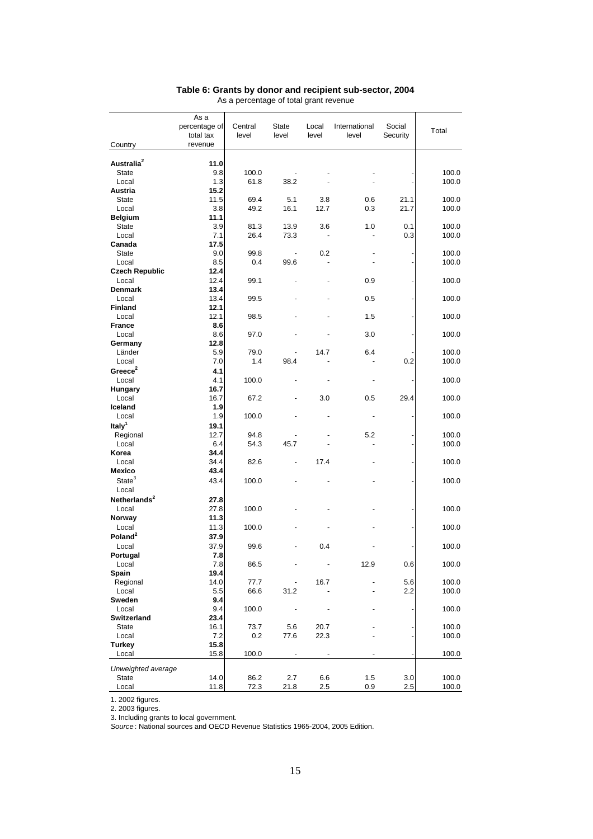| Country                  | As a<br>percentage of<br>total tax<br>revenue | Central<br>level | <b>State</b><br>level    | Local<br>level | International<br>level | Social<br>Security | Total          |
|--------------------------|-----------------------------------------------|------------------|--------------------------|----------------|------------------------|--------------------|----------------|
|                          |                                               |                  |                          |                |                        |                    |                |
| Australia <sup>2</sup>   | 11.0                                          |                  |                          |                |                        |                    |                |
| State                    | 9.8<br>1.3                                    | 100.0            |                          |                |                        |                    | 100.0<br>100.0 |
| Local                    | 15.2                                          | 61.8             | 38.2                     |                |                        |                    |                |
| Austria<br><b>State</b>  | 11.5                                          | 69.4             | 5.1                      | 3.8            | 0.6                    | 21.1               | 100.0          |
| Local                    | 3.8                                           | 49.2             | 16.1                     | 12.7           | 0.3                    | 21.7               | 100.0          |
| <b>Belgium</b>           | 11.1                                          |                  |                          |                |                        |                    |                |
| <b>State</b>             | 3.9                                           | 81.3             | 13.9                     | 3.6            | 1.0                    | 0.1                | 100.0          |
| Local                    | 7.1                                           | 26.4             | 73.3                     |                |                        | 0.3                | 100.0          |
| Canada                   | 17.5                                          |                  |                          |                |                        |                    |                |
| <b>State</b>             | 9.0                                           | 99.8             | $\overline{\phantom{a}}$ | 0.2            |                        |                    | 100.0          |
| Local                    | 8.5                                           | 0.4              | 99.6                     |                |                        |                    | 100.0          |
| <b>Czech Republic</b>    | 12.4                                          |                  |                          |                |                        |                    |                |
| Local                    | 12.4                                          | 99.1             |                          |                | 0.9                    |                    | 100.0          |
| Denmark                  | 13.4                                          |                  |                          |                |                        |                    |                |
| Local<br><b>Finland</b>  | 13.4                                          | 99.5             |                          |                | 0.5                    |                    | 100.0          |
| Local                    | 12.1<br>12.1                                  | 98.5             |                          |                | 1.5                    |                    | 100.0          |
| <b>France</b>            | 8.6                                           |                  |                          |                |                        |                    |                |
| Local                    | 8.6                                           | 97.0             |                          |                | 3.0                    |                    | 100.0          |
| Germany                  | 12.8                                          |                  |                          |                |                        |                    |                |
| Länder                   | 5.9                                           | 79.0             |                          | 14.7           | 6.4                    |                    | 100.0          |
| Local                    | 7.0                                           | 1.4              | 98.4                     |                |                        | 0.2                | 100.0          |
| Greece $2$               | 4.1                                           |                  |                          |                |                        |                    |                |
| Local                    | 4.1                                           | 100.0            |                          |                |                        |                    | 100.0          |
| <b>Hungary</b>           | 16.7                                          |                  |                          |                |                        |                    |                |
| Local                    | 16.7                                          | 67.2             |                          | 3.0            | 0.5                    | 29.4               | 100.0          |
| Iceland<br>Local         | 1.9<br>1.9                                    | 100.0            |                          |                |                        |                    | 100.0          |
| Italy <sup>1</sup>       | 19.1                                          |                  |                          |                |                        |                    |                |
| Regional                 | 12.7                                          | 94.8             |                          |                | 5.2                    |                    | 100.0          |
| Local                    | 6.4                                           | 54.3             | 45.7                     |                |                        |                    | 100.0          |
| Korea                    | 34.4                                          |                  |                          |                |                        |                    |                |
| Local                    | 34.4                                          | 82.6             |                          | 17.4           |                        |                    | 100.0          |
| Mexico                   | 43.4                                          |                  |                          |                |                        |                    |                |
| State <sup>3</sup>       | 43.4                                          | 100.0            |                          |                |                        |                    | 100.0          |
| Local                    |                                               |                  |                          |                |                        |                    |                |
| Netherlands <sup>2</sup> | 27.8                                          |                  |                          |                |                        |                    |                |
| Local                    | 27.8                                          | 100.0            |                          |                |                        |                    | 100.0          |
| Norway<br>Local          | 11.3<br>11.3                                  | 100.0            |                          |                |                        |                    | 100.0          |
| Poland <sup>2</sup>      | 37.9                                          |                  |                          |                |                        |                    |                |
| Local                    | 37.9                                          | 99.6             |                          | 0.4            |                        |                    | 100.0          |
| Portugal                 | 7.8                                           |                  |                          |                |                        |                    |                |
| Local                    | $7.8$                                         | 86.5             |                          |                | 12.9                   | 0.6                | 100.0          |
| Spain                    | 19.4                                          |                  |                          |                |                        |                    |                |
| Regional                 | 14.0                                          | 77.7             |                          | 16.7           |                        | 5.6                | 100.0          |
| Local                    | 5.5                                           | 66.6             | 31.2                     |                |                        | 2.2                | 100.0          |
| Sweden                   | 9.4                                           |                  |                          |                |                        |                    |                |
| Local<br>Switzerland     | 9.4<br>23.4                                   | 100.0            |                          |                |                        |                    | 100.0          |
| State                    | 16.1                                          | 73.7             | 5.6                      | 20.7           |                        |                    | 100.0          |
| Local                    | 7.2                                           | 0.2              | 77.6                     | 22.3           |                        |                    | 100.0          |
| Turkey                   | 15.8                                          |                  |                          |                |                        |                    |                |
| Local                    | 15.8                                          | 100.0            | $\overline{\phantom{m}}$ |                |                        |                    | 100.0          |
| Unweighted average       |                                               |                  |                          |                |                        |                    |                |
| <b>State</b>             | 14.0                                          | 86.2             | 2.7                      | 6.6            | 1.5                    | 3.0                | 100.0          |
| Local                    | 11.8                                          | 72.3             | 21.8                     | 2.5            | 0.9                    | 2.5                | 100.0          |

#### **Table 6: Grants by donor and recipient sub-sector, 2004**  As a percentage of total grant revenue

1. 2002 figures. 2. 2003 figures.

3. Including grants to local government.

*Source* : National sources and OECD Revenue Statistics 1965-2004, 2005 Edition.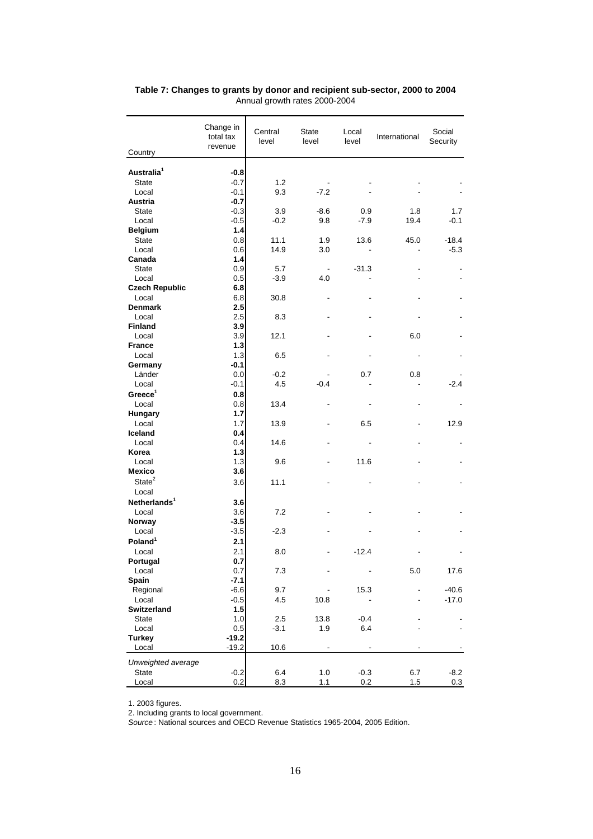| Country                  | Change in<br>total tax<br>revenue | Central<br>level | State<br>level           | Local<br>level | International | Social<br>Security |
|--------------------------|-----------------------------------|------------------|--------------------------|----------------|---------------|--------------------|
|                          |                                   |                  |                          |                |               |                    |
| Australia <sup>1</sup>   | $-0.8$                            |                  |                          |                |               |                    |
| <b>State</b>             | $-0.7$                            | 1.2              |                          |                |               |                    |
| Local                    | -0.1                              | 9.3              | $-7.2$                   |                |               |                    |
| Austria                  | $-0.7$                            |                  |                          |                |               |                    |
| <b>State</b>             | $-0.3$                            | 3.9              | $-8.6$                   | 0.9            | 1.8           | 1.7                |
| Local                    | $-0.5$                            | $-0.2$           | 9.8                      | $-7.9$         | 19.4          | $-0.1$             |
| <b>Belgium</b>           | 1.4                               |                  |                          |                |               |                    |
| <b>State</b>             | 0.8                               | 11.1             | 1.9                      | 13.6           | 45.0          | $-18.4$            |
| Local                    | 0.6                               | 14.9             | 3.0                      |                |               | $-5.3$             |
| Canada                   | 1.4                               |                  |                          |                |               |                    |
| <b>State</b>             | 0.9                               | 5.7              | $\overline{\phantom{a}}$ | $-31.3$        |               |                    |
| Local                    | 0.5                               | $-3.9$           | 4.0                      |                |               |                    |
| <b>Czech Republic</b>    | 6.8                               |                  |                          |                |               |                    |
| Local                    | 6.8                               | 30.8             |                          |                |               |                    |
| <b>Denmark</b>           | 2.5                               |                  |                          |                |               |                    |
| Local                    | 2.5                               | 8.3              |                          |                |               |                    |
| Finland                  | 3.9                               |                  |                          |                |               |                    |
| Local                    | 3.9                               | 12.1             |                          |                | 6.0           |                    |
| <b>France</b><br>Local   | $1.3$<br>1.3                      | 6.5              |                          |                |               |                    |
| Germany                  | $-0.1$                            |                  |                          |                |               |                    |
| Länder                   | 0.0                               | $-0.2$           |                          | 0.7            | 0.8           |                    |
| Local                    | -0.1                              | 4.5              | $-0.4$                   |                |               | $-2.4$             |
| Greeze <sup>1</sup>      | 0.8                               |                  |                          |                |               |                    |
| Local                    | 0.8                               | 13.4             |                          |                |               |                    |
| Hungary                  | 1.7                               |                  |                          |                |               |                    |
| Local                    | 1.7                               | 13.9             |                          | 6.5            |               | 12.9               |
| Iceland                  | 0.4                               |                  |                          |                |               |                    |
| Local                    | 0.4                               | 14.6             |                          |                |               |                    |
| Korea                    | $1.3$                             |                  |                          |                |               |                    |
| Local                    | 1.3                               | 9.6              |                          | 11.6           |               |                    |
| <b>Mexico</b>            | 3.6                               |                  |                          |                |               |                    |
| State <sup>2</sup>       | 3.6                               | 11.1             |                          |                |               |                    |
| Local                    |                                   |                  |                          |                |               |                    |
| Netherlands <sup>1</sup> | 3.6                               |                  |                          |                |               |                    |
| Local                    | 3.6                               | 7.2              |                          |                |               |                    |
| Norway                   | $-3.5$                            |                  |                          |                |               |                    |
| Local                    | $-3.5$                            | $-2.3$           |                          |                |               |                    |
| Poland <sup>1</sup>      | 2.1                               |                  |                          |                |               |                    |
| Local                    | 2.1                               | 8.0              |                          | $-12.4$        |               |                    |
| Portugal                 | 0.7                               |                  |                          |                |               |                    |
| Local                    | $0.7\,$                           | 7.3              |                          |                | 5.0           | 17.6               |
| <b>Spain</b>             | $-7.1$                            |                  |                          |                |               |                    |
| Regional                 | $-6.6$                            | 9.7              |                          | 15.3           |               | $-40.6$            |
| Local                    | $-0.5$                            | 4.5              | 10.8                     |                |               | $-17.0$            |
| Switzerland              | 1.5                               |                  |                          |                |               |                    |
| <b>State</b>             | 1.0                               | 2.5              | 13.8                     | $-0.4$         |               |                    |
| Local                    | 0.5                               | $-3.1$           | 1.9                      | 6.4            |               |                    |
| <b>Turkey</b>            | $-19.2$                           |                  |                          |                |               |                    |
| Local                    | $-19.2$                           | 10.6             |                          |                |               |                    |
| Unweighted average       |                                   |                  |                          |                |               |                    |
| <b>State</b>             | $-0.2$                            | 6.4              | 1.0                      | $-0.3$         | 6.7           | $-8.2$             |
| Local                    | 0.2                               | 8.3              | 1.1                      | 0.2            | 1.5           | 0.3                |

#### **Table 7: Changes to grants by donor and recipient sub-sector, 2000 to 2004**  Annual growth rates 2000-2004

1. 2003 figures.

2. Including grants to local government.

*Source* : National sources and OECD Revenue Statistics 1965-2004, 2005 Edition.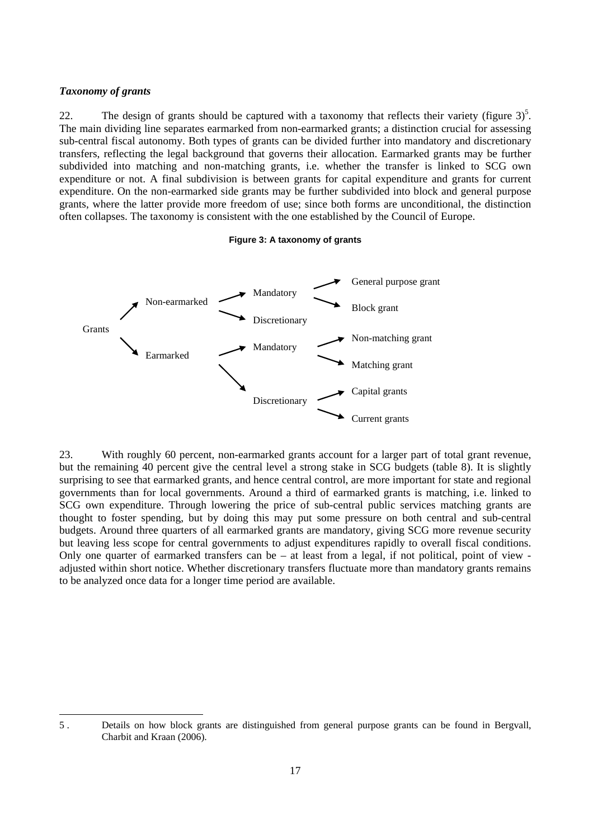### <span id="page-16-0"></span>*Taxonomy of grants*

22. The design of grants should be captured with a taxonomy that reflects their variety (figure  $3^5$  $3^5$ . The main dividing line separates earmarked from non-earmarked grants; a distinction crucial for assessing sub-central fiscal autonomy. Both types of grants can be divided further into mandatory and discretionary transfers, reflecting the legal background that governs their allocation. Earmarked grants may be further subdivided into matching and non-matching grants, i.e. whether the transfer is linked to SCG own expenditure or not. A final subdivision is between grants for capital expenditure and grants for current expenditure. On the non-earmarked side grants may be further subdivided into block and general purpose grants, where the latter provide more freedom of use; since both forms are unconditional, the distinction often collapses. The taxonomy is consistent with the one established by the Council of Europe.

#### **Figure 3: A taxonomy of grants**



23. With roughly 60 percent, non-earmarked grants account for a larger part of total grant revenue, but the remaining 40 percent give the central level a strong stake in SCG budgets (table 8). It is slightly surprising to see that earmarked grants, and hence central control, are more important for state and regional governments than for local governments. Around a third of earmarked grants is matching, i.e. linked to SCG own expenditure. Through lowering the price of sub-central public services matching grants are thought to foster spending, but by doing this may put some pressure on both central and sub-central budgets. Around three quarters of all earmarked grants are mandatory, giving SCG more revenue security but leaving less scope for central governments to adjust expenditures rapidly to overall fiscal conditions. Only one quarter of earmarked transfers can be – at least from a legal, if not political, point of view adjusted within short notice. Whether discretionary transfers fluctuate more than mandatory grants remains to be analyzed once data for a longer time period are available.

<span id="page-16-1"></span><sup>5 .</sup> Details on how block grants are distinguished from general purpose grants can be found in Bergvall, Charbit and Kraan (2006).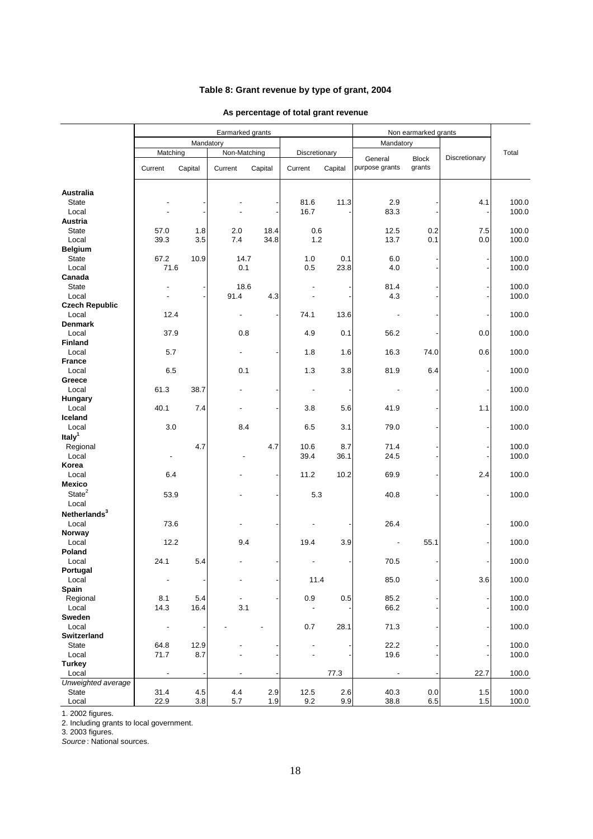## **Table 8: Grant revenue by type of grant, 2004**

### **As percentage of total grant revenue**

|                                |                |            | Earmarked grants |              |               |         | Non earmarked grants     |              |               |                |  |
|--------------------------------|----------------|------------|------------------|--------------|---------------|---------|--------------------------|--------------|---------------|----------------|--|
|                                |                | Mandatory  |                  |              |               |         | Mandatory                |              |               |                |  |
|                                | Matching       |            | Non-Matching     |              | Discretionary |         | General                  | <b>Block</b> | Discretionary | Total          |  |
|                                | Current        | Capital    | Current          | Capital      | Current       | Capital | purpose grants           | grants       |               |                |  |
| <b>Australia</b>               |                |            |                  |              |               |         |                          |              |               |                |  |
| <b>State</b>                   |                |            |                  |              | 81.6          | 11.3    | 2.9                      |              | 4.1           | 100.0          |  |
| Local                          |                |            |                  |              | 16.7          |         | 83.3                     |              |               | 100.0          |  |
| <b>Austria</b>                 |                |            |                  |              |               |         |                          |              |               |                |  |
| <b>State</b><br>Local          | 57.0<br>39.3   | 1.8<br>3.5 | 2.0<br>7.4       | 18.4<br>34.8 | 0.6<br>1.2    |         | 12.5<br>13.7             | 0.2<br>0.1   | 7.5<br>0.0    | 100.0<br>100.0 |  |
| <b>Belgium</b>                 |                |            |                  |              |               |         |                          |              |               |                |  |
| <b>State</b>                   | 67.2           | 10.9       | 14.7             |              | 1.0           | 0.1     | 6.0                      |              |               | 100.0          |  |
| Local                          | 71.6           |            | 0.1              |              | 0.5           | 23.8    | 4.0                      |              |               | 100.0          |  |
| Canada                         |                |            |                  |              |               |         |                          |              |               |                |  |
| <b>State</b>                   |                |            | 18.6             |              |               |         | 81.4                     |              |               | 100.0          |  |
| Local<br><b>Czech Republic</b> |                |            | 91.4             | 4.3          |               |         | 4.3                      |              |               | 100.0          |  |
| Local                          | 12.4           |            |                  |              | 74.1          | 13.6    |                          |              |               | 100.0          |  |
| <b>Denmark</b>                 |                |            |                  |              |               |         |                          |              |               |                |  |
| Local                          | 37.9           |            | 0.8              |              | 4.9           | 0.1     | 56.2                     |              | 0.0           | 100.0          |  |
| <b>Finland</b>                 |                |            |                  |              |               |         |                          |              |               |                |  |
| Local<br><b>France</b>         | 5.7            |            |                  |              | 1.8           | 1.6     | 16.3                     | 74.0         | 0.6           | 100.0          |  |
| Local                          | 6.5            |            | 0.1              |              | 1.3           | 3.8     | 81.9                     | 6.4          |               | 100.0          |  |
| Greece                         |                |            |                  |              |               |         |                          |              |               |                |  |
| Local                          | 61.3           | 38.7       |                  |              |               |         |                          |              |               | 100.0          |  |
| Hungary                        |                |            |                  |              |               |         |                          |              |               |                |  |
| Local<br>Iceland               | 40.1           | 7.4        | $\overline{a}$   |              | 3.8           | 5.6     | 41.9                     |              | $1.1$         | 100.0          |  |
| Local                          | 3.0            |            | 8.4              |              | 6.5           | 3.1     | 79.0                     |              |               | 100.0          |  |
| Italy <sup>1</sup>             |                |            |                  |              |               |         |                          |              |               |                |  |
| Regional                       |                | 4.7        |                  | 4.7          | 10.6          | 8.7     | 71.4                     |              |               | 100.0          |  |
| Local                          | $\blacksquare$ |            |                  |              | 39.4          | 36.1    | 24.5                     |              |               | 100.0          |  |
| Korea                          |                |            |                  |              |               |         |                          |              |               |                |  |
| Local<br><b>Mexico</b>         | 6.4            |            |                  |              | 11.2          | 10.2    | 69.9                     |              | 2.4           | 100.0          |  |
| State <sup>2</sup>             | 53.9           |            |                  |              | 5.3           |         | 40.8                     |              |               | 100.0          |  |
| Local                          |                |            |                  |              |               |         |                          |              |               |                |  |
| Netherlands <sup>3</sup>       |                |            |                  |              |               |         |                          |              |               |                |  |
| Local                          | 73.6           |            |                  |              |               |         | 26.4                     |              |               | 100.0          |  |
| Norway                         |                |            |                  |              |               |         |                          |              |               |                |  |
| Local                          | 12.2           |            | 9.4              |              | 19.4          | 3.9     |                          | 55.1         |               | 100.0          |  |
| Poland<br>Local                | 24.1           | 5.4        |                  |              |               |         | 70.5                     |              |               | 100.0          |  |
| Portugal                       |                |            |                  |              |               |         |                          |              |               |                |  |
| Local                          | Ĭ.             |            | $\overline{a}$   |              | 11.4          |         | 85.0                     |              | 3.6           | 100.0          |  |
| Spain                          |                |            |                  |              |               |         |                          |              |               |                |  |
| Regional                       | 8.1            | 5.4        |                  |              | 0.9           | 0.5     | 85.2                     |              |               | 100.0          |  |
| Local<br>Sweden                | 14.3           | 16.4       | 3.1              |              |               |         | 66.2                     |              |               | 100.0          |  |
| Local                          |                |            |                  |              | 0.7           | 28.1    | 71.3                     |              |               | 100.0          |  |
| Switzerland                    |                |            |                  |              |               |         |                          |              |               |                |  |
| State                          | 64.8           | 12.9       |                  |              |               |         | 22.2                     |              |               | 100.0          |  |
| Local                          | 71.7           | 8.7        |                  |              |               |         | 19.6                     |              |               | 100.0          |  |
| <b>Turkey</b><br>Local         | Ĭ.             |            |                  |              |               |         | $\overline{\phantom{a}}$ |              |               |                |  |
| Unweighted average             |                |            |                  |              |               | 77.3    |                          |              | 22.7          | 100.0          |  |
| State                          | 31.4           | 4.5        | 4.4              | 2.9          | 12.5          | 2.6     | 40.3                     | 0.0          | 1.5           | 100.0          |  |
| Local                          | 22.9           | 3.8        | 5.7              | 1.9          | 9.2           | 9.9     | 38.8                     | 6.5          | 1.5           | 100.0          |  |

1. 2002 figures.

2. Including grants to local government.

3. 2003 figures.

*Source* : National sources.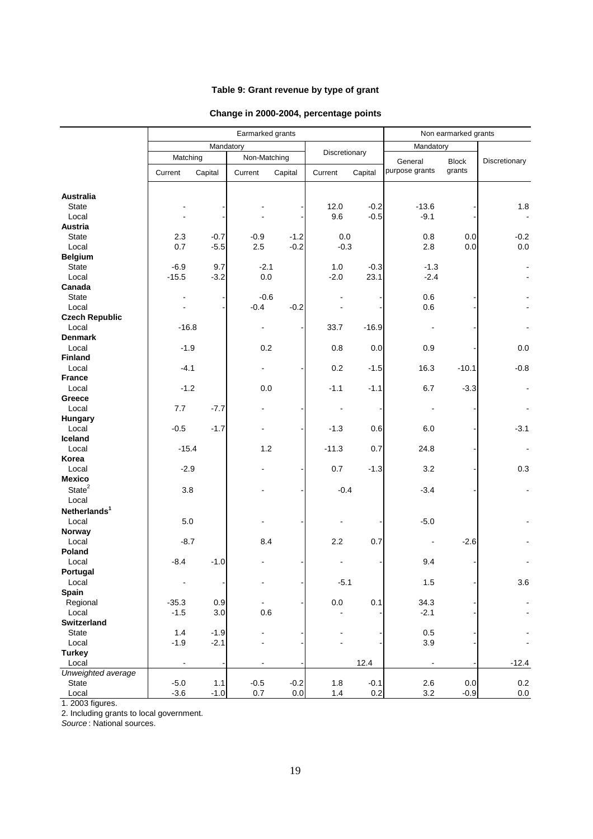## **Table 9: Grant revenue by type of grant**

## **Change in 2000-2004, percentage points**

|                             |                |           | Earmarked grants |         |               |         | Non earmarked grants |              |               |  |
|-----------------------------|----------------|-----------|------------------|---------|---------------|---------|----------------------|--------------|---------------|--|
|                             |                | Mandatory |                  |         |               |         | Mandatory            |              |               |  |
|                             | Matching       |           | Non-Matching     |         | Discretionary |         | General              | <b>Block</b> | Discretionary |  |
|                             | Current        | Capital   | Current          | Capital | Current       | Capital | purpose grants       | grants       |               |  |
|                             |                |           |                  |         |               |         |                      |              |               |  |
| <b>Australia</b>            |                |           |                  |         |               |         |                      |              |               |  |
| <b>State</b>                |                |           |                  |         | 12.0          | $-0.2$  | $-13.6$              |              | 1.8           |  |
| Local                       |                |           |                  |         | 9.6           | $-0.5$  | $-9.1$               |              |               |  |
| <b>Austria</b>              |                |           |                  |         |               |         |                      |              |               |  |
| <b>State</b>                | 2.3            | $-0.7$    | $-0.9$           | $-1.2$  | 0.0           |         | $0.8\,$              | 0.0          | $-0.2$        |  |
| Local<br><b>Belgium</b>     | 0.7            | $-5.5$    | 2.5              | $-0.2$  | $-0.3$        |         | 2.8                  | 0.0          | $0.0\,$       |  |
| <b>State</b>                | $-6.9$         | 9.7       | $-2.1$           |         | 1.0           | $-0.3$  | $-1.3$               |              |               |  |
| Local                       | $-15.5$        | $-3.2$    | 0.0              |         | $-2.0$        | 23.1    | $-2.4$               |              |               |  |
| Canada                      |                |           |                  |         |               |         |                      |              |               |  |
| <b>State</b>                | $\blacksquare$ |           | $-0.6$           |         |               |         | 0.6                  |              |               |  |
| Local                       |                |           | $-0.4$           | $-0.2$  |               |         | 0.6                  |              |               |  |
| <b>Czech Republic</b>       |                |           |                  |         |               |         |                      |              |               |  |
| Local                       | $-16.8$        |           |                  |         | 33.7          | $-16.9$ |                      |              |               |  |
| <b>Denmark</b>              |                |           |                  |         |               |         |                      |              |               |  |
| Local                       | $-1.9$         |           | 0.2              |         | 0.8           | 0.0     | 0.9                  |              | 0.0           |  |
| <b>Finland</b>              |                |           |                  |         |               |         |                      |              |               |  |
| Local                       | $-4.1$         |           |                  |         | 0.2           | $-1.5$  | 16.3                 | $-10.1$      | $-0.8$        |  |
| <b>France</b>               |                |           |                  |         |               |         |                      |              |               |  |
| Local                       | $-1.2$         |           | 0.0              |         | $-1.1$        | $-1.1$  | 6.7                  | $-3.3$       |               |  |
| Greece<br>Local             | 7.7            | $-7.7$    |                  |         |               |         |                      |              |               |  |
| Hungary                     |                |           |                  |         |               |         |                      |              |               |  |
| Local                       | $-0.5$         | $-1.7$    |                  |         | $-1.3$        | 0.6     | 6.0                  |              | $-3.1$        |  |
| Iceland                     |                |           |                  |         |               |         |                      |              |               |  |
| Local                       | $-15.4$        |           | 1.2              |         | $-11.3$       | 0.7     | 24.8                 |              |               |  |
| Korea                       |                |           |                  |         |               |         |                      |              |               |  |
| Local                       | $-2.9$         |           |                  |         | 0.7           | $-1.3$  | 3.2                  |              | 0.3           |  |
| <b>Mexico</b>               |                |           |                  |         |               |         |                      |              |               |  |
| State <sup>2</sup>          | 3.8            |           |                  |         | $-0.4$        |         | $-3.4$               |              |               |  |
| Local                       |                |           |                  |         |               |         |                      |              |               |  |
| Netherlands <sup>1</sup>    |                |           |                  |         |               |         |                      |              |               |  |
| Local                       | $5.0\,$        |           |                  |         |               |         | $-5.0$               |              |               |  |
| Norway                      |                |           |                  |         |               |         |                      |              |               |  |
| Local                       | $-8.7$         |           | 8.4              |         | 2.2           | 0.7     |                      | $-2.6$       |               |  |
| Poland<br>Local             | -8.4           | $-1.0$    |                  |         |               |         | 9.4                  |              |               |  |
| Portugal                    |                |           |                  |         |               |         |                      |              |               |  |
| Local                       |                |           |                  |         | $-5.1$        |         | 1.5                  |              | 3.6           |  |
| Spain                       |                |           |                  |         |               |         |                      |              |               |  |
| Regional                    | $-35.3$        | 0.9       |                  |         | $0.0\,$       | 0.1     | 34.3                 |              |               |  |
| Local                       | $-1.5$         | 3.0       | 0.6              |         |               |         | $-2.1$               |              |               |  |
| Switzerland                 |                |           |                  |         |               |         |                      |              |               |  |
| State                       | $1.4$          | $-1.9$    |                  |         |               |         | 0.5                  |              |               |  |
| Local                       | $-1.9$         | $-2.1$    |                  |         |               |         | 3.9                  |              |               |  |
| <b>Turkey</b>               |                |           |                  |         |               |         |                      |              |               |  |
| Local<br>Unweighted average | $\blacksquare$ |           | $\blacksquare$   |         |               | 12.4    |                      |              | $-12.4$       |  |
| <b>State</b>                | $-5.0$         | $1.1$     | $-0.5$           | $-0.2$  | $1.8\,$       | $-0.1$  | $2.6\,$              | $0.0\,$      | 0.2           |  |
| Local                       | $-3.6$         | $-1.0$    | 0.7              | $0.0\,$ | $1.4$         | 0.2     | 3.2                  | $-0.9$       | $0.0\,$       |  |

1. 2003 figures.

2. Including grants to local government.

*Source* : National sources.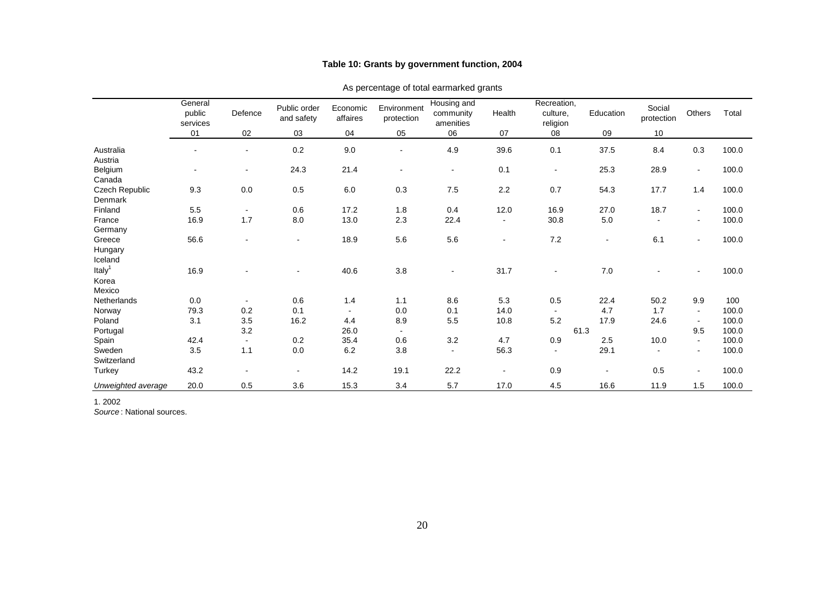### **Table 10: Grants by government function, 2004**

|                    | General<br>public<br>services | Defence        | Public order<br>and safety | Economic<br>affaires | Environment<br>protection | Housing and<br>community<br>amenities | Health         | Recreation,<br>culture.<br>religion | Education                | Social<br>protection | Others                   | Total |
|--------------------|-------------------------------|----------------|----------------------------|----------------------|---------------------------|---------------------------------------|----------------|-------------------------------------|--------------------------|----------------------|--------------------------|-------|
|                    | 01                            | 02             | 03                         | 04                   | 05                        | 06                                    | 07             | 08                                  | 09                       | 10                   |                          |       |
| Australia          | ÷.                            | $\blacksquare$ | 0.2                        | 9.0                  | $\sim$                    | 4.9                                   | 39.6           | 0.1                                 | 37.5                     | 8.4                  | 0.3                      | 100.0 |
| Austria            |                               |                |                            |                      |                           |                                       |                |                                     |                          |                      |                          |       |
| Belgium            | $\blacksquare$                | $\blacksquare$ | 24.3                       | 21.4                 |                           | $\sim$                                | 0.1            | $\blacksquare$                      | 25.3                     | 28.9                 | $\blacksquare$           | 100.0 |
| Canada             |                               |                |                            |                      |                           |                                       |                |                                     |                          |                      |                          |       |
| Czech Republic     | 9.3                           | 0.0            | 0.5                        | 6.0                  | 0.3                       | 7.5                                   | 2.2            | 0.7                                 | 54.3                     | 17.7                 | 1.4                      | 100.0 |
| Denmark            |                               |                |                            |                      |                           |                                       |                |                                     |                          |                      |                          |       |
| Finland            | 5.5                           | $\sim$         | 0.6                        | 17.2                 | 1.8                       | 0.4                                   | 12.0           | 16.9                                | 27.0                     | 18.7                 | $\sim$                   | 100.0 |
| France             | 16.9                          | 1.7            | 8.0                        | 13.0                 | 2.3                       | 22.4                                  |                | 30.8                                | 5.0                      | $\mathbf{r}$         | $\blacksquare$           | 100.0 |
| Germany            |                               |                |                            |                      |                           |                                       |                |                                     |                          |                      |                          |       |
| Greece             | 56.6                          |                | $\blacksquare$             | 18.9                 | 5.6                       | 5.6                                   | $\blacksquare$ | 7.2                                 | $\sim$                   | 6.1                  | $\blacksquare$           | 100.0 |
| Hungary            |                               |                |                            |                      |                           |                                       |                |                                     |                          |                      |                          |       |
| Iceland            |                               |                |                            |                      |                           |                                       |                |                                     |                          |                      |                          |       |
| Italy <sup>1</sup> | 16.9                          |                | $\blacksquare$             | 40.6                 | 3.8                       | $\sim$                                | 31.7           | $\blacksquare$                      | 7.0                      |                      | $\sim$                   | 100.0 |
| Korea              |                               |                |                            |                      |                           |                                       |                |                                     |                          |                      |                          |       |
| Mexico             |                               |                |                            |                      |                           |                                       |                |                                     |                          |                      |                          |       |
| Netherlands        | 0.0                           | $\sim$         | 0.6                        | 1.4                  | 1.1                       | 8.6                                   | 5.3            | 0.5                                 | 22.4                     | 50.2                 | 9.9                      | 100   |
| Norway             | 79.3                          | 0.2            | 0.1                        | $\sim$               | 0.0                       | 0.1                                   | 14.0           | $\sim$                              | 4.7                      | 1.7                  | $\sim$                   | 100.0 |
| Poland             | 3.1                           | 3.5            | 16.2                       | 4.4                  | 8.9                       | 5.5                                   | 10.8           | 5.2                                 | 17.9                     | 24.6                 | $\sim$                   | 100.0 |
| Portugal           |                               | 3.2            |                            | 26.0                 | $\sim$                    |                                       |                | 61.3                                |                          |                      | 9.5                      | 100.0 |
| Spain              | 42.4                          | $\sim$         | 0.2                        | 35.4                 | 0.6                       | 3.2                                   | 4.7            | 0.9                                 | 2.5                      | 10.0                 | $\sim$                   | 100.0 |
| Sweden             | 3.5                           | 1.1            | 0.0                        | 6.2                  | 3.8                       | $\mathbf{r}$                          | 56.3           | $\sim$                              | 29.1                     | $\sim$               | $\sim$                   | 100.0 |
| Switzerland        |                               |                |                            |                      |                           |                                       |                |                                     |                          |                      |                          |       |
| Turkey             | 43.2                          |                | $\blacksquare$             | 14.2                 | 19.1                      | 22.2                                  | $\blacksquare$ | 0.9                                 | $\overline{\phantom{a}}$ | 0.5                  | $\overline{\phantom{a}}$ | 100.0 |
| Unweighted average | 20.0                          | 0.5            | 3.6                        | 15.3                 | 3.4                       | 5.7                                   | 17.0           | 4.5                                 | 16.6                     | 11.9                 | 1.5                      | 100.0 |

#### As percentage of total earmarked grants

1. 2002

*Source* : National sources.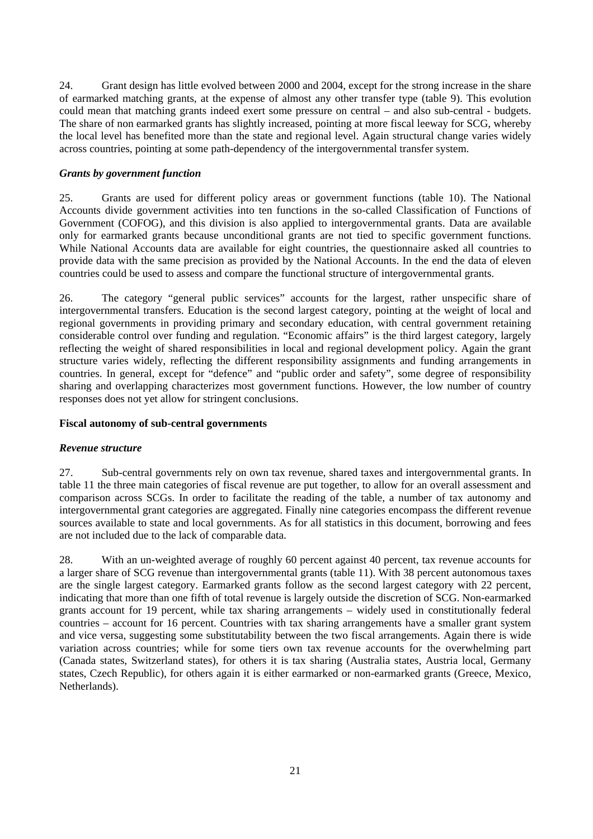<span id="page-20-0"></span>24. Grant design has little evolved between 2000 and 2004, except for the strong increase in the share of earmarked matching grants, at the expense of almost any other transfer type (table 9). This evolution could mean that matching grants indeed exert some pressure on central – and also sub-central - budgets. The share of non earmarked grants has slightly increased, pointing at more fiscal leeway for SCG, whereby the local level has benefited more than the state and regional level. Again structural change varies widely across countries, pointing at some path-dependency of the intergovernmental transfer system.

### *Grants by government function*

25. Grants are used for different policy areas or government functions (table 10). The National Accounts divide government activities into ten functions in the so-called Classification of Functions of Government (COFOG), and this division is also applied to intergovernmental grants. Data are available only for earmarked grants because unconditional grants are not tied to specific government functions. While National Accounts data are available for eight countries, the questionnaire asked all countries to provide data with the same precision as provided by the National Accounts. In the end the data of eleven countries could be used to assess and compare the functional structure of intergovernmental grants.

26. The category "general public services" accounts for the largest, rather unspecific share of intergovernmental transfers. Education is the second largest category, pointing at the weight of local and regional governments in providing primary and secondary education, with central government retaining considerable control over funding and regulation. "Economic affairs" is the third largest category, largely reflecting the weight of shared responsibilities in local and regional development policy. Again the grant structure varies widely, reflecting the different responsibility assignments and funding arrangements in countries. In general, except for "defence" and "public order and safety", some degree of responsibility sharing and overlapping characterizes most government functions. However, the low number of country responses does not yet allow for stringent conclusions.

#### **Fiscal autonomy of sub-central governments**

#### *Revenue structure*

27. Sub-central governments rely on own tax revenue, shared taxes and intergovernmental grants. In table 11 the three main categories of fiscal revenue are put together, to allow for an overall assessment and comparison across SCGs. In order to facilitate the reading of the table, a number of tax autonomy and intergovernmental grant categories are aggregated. Finally nine categories encompass the different revenue sources available to state and local governments. As for all statistics in this document, borrowing and fees are not included due to the lack of comparable data.

28. With an un-weighted average of roughly 60 percent against 40 percent, tax revenue accounts for a larger share of SCG revenue than intergovernmental grants (table 11). With 38 percent autonomous taxes are the single largest category. Earmarked grants follow as the second largest category with 22 percent, indicating that more than one fifth of total revenue is largely outside the discretion of SCG. Non-earmarked grants account for 19 percent, while tax sharing arrangements – widely used in constitutionally federal countries – account for 16 percent. Countries with tax sharing arrangements have a smaller grant system and vice versa, suggesting some substitutability between the two fiscal arrangements. Again there is wide variation across countries; while for some tiers own tax revenue accounts for the overwhelming part (Canada states, Switzerland states), for others it is tax sharing (Australia states, Austria local, Germany states, Czech Republic), for others again it is either earmarked or non-earmarked grants (Greece, Mexico, Netherlands).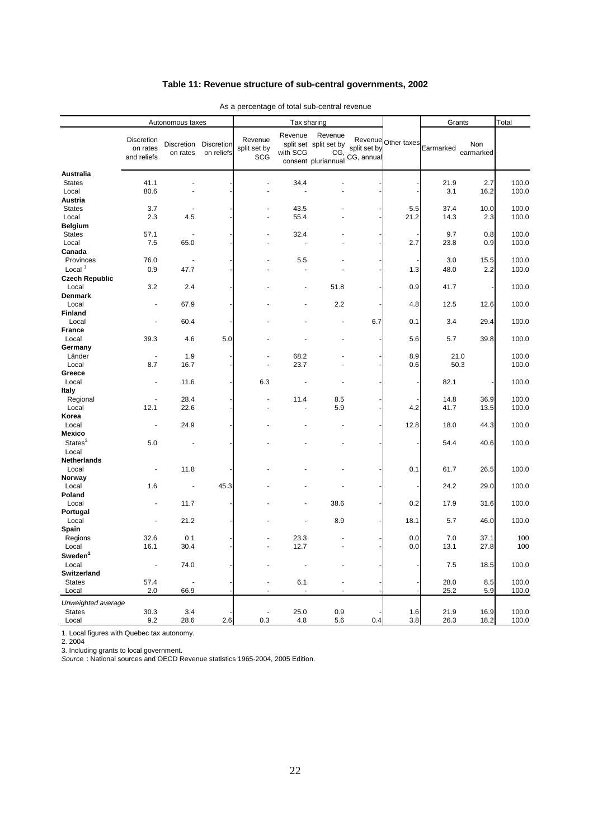### **Table 11: Revenue structure of sub-central governments, 2002**

|                         | Autonomous taxes                      |                        |                          | Tax sharing                    |                     |                                                                 |                            |                     | Grants       |                  | Total          |  |
|-------------------------|---------------------------------------|------------------------|--------------------------|--------------------------------|---------------------|-----------------------------------------------------------------|----------------------------|---------------------|--------------|------------------|----------------|--|
|                         | Discretion<br>on rates<br>and reliefs | Discretion<br>on rates | Discretion<br>on reliefs | Revenue<br>split set by<br>SCG | Revenue<br>with SCG | Revenue<br>split set split set by<br>CG,<br>consent pluriannual | split set by<br>CG, annual | Revenue Other taxes | Earmarked    | Non<br>earmarked |                |  |
| <b>Australia</b>        |                                       |                        |                          |                                |                     |                                                                 |                            |                     |              |                  |                |  |
| <b>States</b>           | 41.1                                  |                        |                          |                                | 34.4                |                                                                 |                            |                     | 21.9         | 2.7              | 100.0          |  |
| Local                   | 80.6                                  |                        |                          | ÷,                             |                     |                                                                 |                            |                     | 3.1          | 16.2             | 100.0          |  |
| Austria                 |                                       |                        |                          |                                |                     |                                                                 |                            |                     |              |                  |                |  |
| <b>States</b>           | 3.7                                   |                        |                          |                                | 43.5<br>55.4        |                                                                 |                            | 5.5                 | 37.4<br>14.3 | 10.0             | 100.0<br>100.0 |  |
| Local<br><b>Belgium</b> | 2.3                                   | 4.5                    |                          |                                |                     |                                                                 |                            | 21.2                |              | 2.3              |                |  |
| <b>States</b>           | 57.1                                  |                        |                          |                                | 32.4                |                                                                 |                            |                     | 9.7          | 0.8              | 100.0          |  |
| Local                   | 7.5                                   | 65.0                   |                          |                                |                     |                                                                 |                            | 2.7                 | 23.8         | 0.9              | 100.0          |  |
| Canada                  |                                       |                        |                          |                                |                     |                                                                 |                            |                     |              |                  |                |  |
| Provinces               | 76.0                                  | ÷,                     |                          |                                | 5.5                 |                                                                 |                            |                     | 3.0          | 15.5             | 100.0          |  |
| Local $1$               | 0.9                                   | 47.7                   |                          |                                |                     |                                                                 |                            | 1.3                 | 48.0         | 2.2              | 100.0          |  |
| <b>Czech Republic</b>   |                                       |                        |                          |                                |                     |                                                                 |                            |                     |              |                  |                |  |
| Local                   | 3.2                                   | 2.4                    |                          |                                |                     | 51.8                                                            |                            | 0.9                 | 41.7         |                  | 100.0          |  |
| <b>Denmark</b>          |                                       |                        |                          |                                |                     |                                                                 |                            |                     |              |                  |                |  |
| Local                   | ÷,                                    | 67.9                   |                          |                                |                     | 2.2                                                             |                            | 4.8                 | 12.5         | 12.6             | 100.0          |  |
| Finland                 |                                       |                        |                          |                                |                     |                                                                 |                            |                     |              |                  |                |  |
| Local                   | ä,                                    | 60.4                   |                          |                                |                     |                                                                 | 6.7                        | 0.1                 | 3.4          | 29.4             | 100.0          |  |
| <b>France</b>           |                                       |                        |                          |                                |                     |                                                                 |                            |                     |              |                  |                |  |
| Local                   | 39.3                                  | 4.6                    | 5.0                      |                                |                     |                                                                 |                            | 5.6                 | 5.7          | 39.8             | 100.0          |  |
| Germany<br>Länder       | ÷,                                    | 1.9                    |                          | L.                             | 68.2                |                                                                 |                            | 8.9                 | 21.0         |                  | 100.0          |  |
| Local                   | 8.7                                   | 16.7                   |                          | Ĭ.                             | 23.7                |                                                                 |                            | 0.6                 | 50.3         |                  | 100.0          |  |
| Greece                  |                                       |                        |                          |                                |                     |                                                                 |                            |                     |              |                  |                |  |
| Local                   | ÷,                                    | 11.6                   |                          | 6.3                            |                     |                                                                 |                            |                     | 82.1         |                  | 100.0          |  |
| Italy                   |                                       |                        |                          |                                |                     |                                                                 |                            |                     |              |                  |                |  |
| Regional                |                                       | 28.4                   |                          | ÷,                             | 11.4                | 8.5                                                             |                            |                     | 14.8         | 36.9             | 100.0          |  |
| Local                   | 12.1                                  | 22.6                   |                          |                                |                     | 5.9                                                             |                            | 4.2                 | 41.7         | 13.5             | 100.0          |  |
| Korea                   |                                       |                        |                          |                                |                     |                                                                 |                            |                     |              |                  |                |  |
| Local                   | ÷,                                    | 24.9                   |                          |                                |                     |                                                                 |                            | 12.8                | 18.0         | 44.3             | 100.0          |  |
| <b>Mexico</b>           |                                       |                        |                          |                                |                     |                                                                 |                            |                     |              |                  |                |  |
| States <sup>3</sup>     | 5.0                                   |                        |                          |                                |                     |                                                                 |                            |                     | 54.4         | 40.6             | 100.0          |  |
| Local                   |                                       |                        |                          |                                |                     |                                                                 |                            |                     |              |                  |                |  |
| Netherlands             |                                       |                        |                          |                                |                     |                                                                 |                            |                     |              |                  |                |  |
| Local<br>Norway         |                                       | 11.8                   |                          |                                |                     |                                                                 |                            | 0.1                 | 61.7         | 26.5             | 100.0          |  |
| Local                   | 1.6                                   |                        | 45.3                     |                                |                     |                                                                 |                            |                     | 24.2         | 29.0             | 100.0          |  |
| Poland                  |                                       |                        |                          |                                |                     |                                                                 |                            |                     |              |                  |                |  |
| Local                   |                                       | 11.7                   |                          |                                |                     | 38.6                                                            |                            | 0.2                 | 17.9         | 31.6             | 100.0          |  |
| Portugal                |                                       |                        |                          |                                |                     |                                                                 |                            |                     |              |                  |                |  |
| Local                   | Ĭ.                                    | 21.2                   |                          |                                |                     | 8.9                                                             |                            | 18.1                | 5.7          | 46.0             | 100.0          |  |
| Spain                   |                                       |                        |                          |                                |                     |                                                                 |                            |                     |              |                  |                |  |
| Regions                 | 32.6                                  | 0.1                    |                          |                                | 23.3                |                                                                 |                            | 0.0                 | 7.0          | 37.1             | 100            |  |
| Local                   | 16.1                                  | 30.4                   |                          | ÷,                             | 12.7                |                                                                 |                            | 0.0                 | 13.1         | 27.8             | 100            |  |
| Sweden <sup>2</sup>     |                                       |                        |                          |                                |                     |                                                                 |                            |                     |              |                  |                |  |
| Local                   | L,                                    | 74.0                   |                          |                                |                     |                                                                 |                            |                     | 7.5          | 18.5             | 100.0          |  |
| <b>Switzerland</b>      |                                       |                        |                          |                                |                     |                                                                 |                            |                     |              |                  |                |  |
| <b>States</b>           | 57.4                                  |                        |                          | ä,                             | 6.1                 |                                                                 |                            |                     | 28.0         | 8.5              | 100.0          |  |
| Local                   | 2.0                                   | 66.9                   |                          | ٠                              |                     |                                                                 |                            |                     | 25.2         | 5.9              | 100.0          |  |
| Unweighted average      |                                       |                        |                          |                                |                     |                                                                 |                            |                     |              |                  |                |  |
| <b>States</b>           | 30.3                                  | 3.4                    |                          | Ĭ.                             | 25.0                | 0.9                                                             |                            | 1.6                 | 21.9         | 16.9             | 100.0          |  |
| Local                   | 9.2                                   | 28.6                   | 2.6                      | 0.3                            | 4.8                 | 5.6                                                             | 0.4                        | 3.8                 | 26.3         | 18.2             | 100.0          |  |

As a percentage of total sub-central revenue

1. Local figures with Quebec tax autonomy.

2. 2004

3. Including grants to local government.

*Source* : National sources and OECD Revenue statistics 1965-2004, 2005 Edition.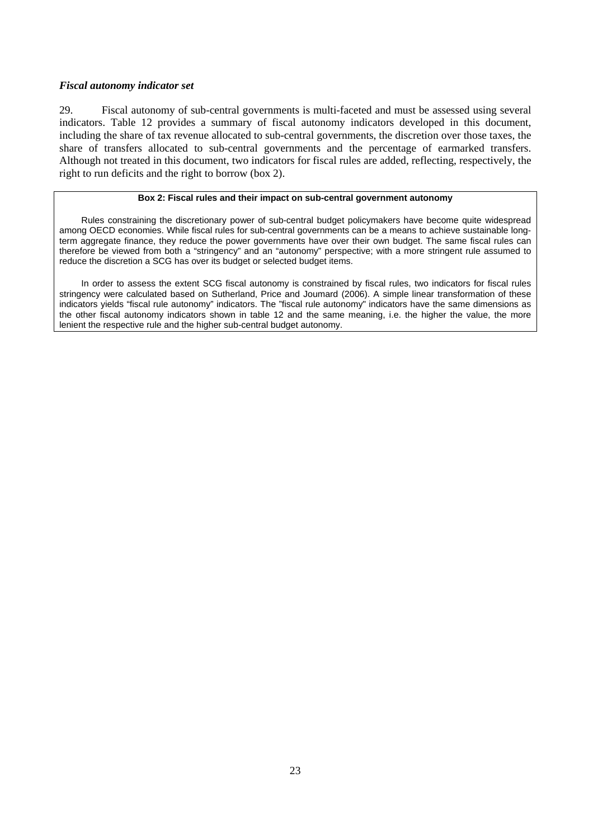### <span id="page-22-0"></span>*Fiscal autonomy indicator set*

29. Fiscal autonomy of sub-central governments is multi-faceted and must be assessed using several indicators. Table 12 provides a summary of fiscal autonomy indicators developed in this document, including the share of tax revenue allocated to sub-central governments, the discretion over those taxes, the share of transfers allocated to sub-central governments and the percentage of earmarked transfers. Although not treated in this document, two indicators for fiscal rules are added, reflecting, respectively, the right to run deficits and the right to borrow (box 2).

#### **Box 2: Fiscal rules and their impact on sub-central government autonomy**

Rules constraining the discretionary power of sub-central budget policymakers have become quite widespread among OECD economies. While fiscal rules for sub-central governments can be a means to achieve sustainable longterm aggregate finance, they reduce the power governments have over their own budget. The same fiscal rules can therefore be viewed from both a "stringency" and an "autonomy" perspective; with a more stringent rule assumed to reduce the discretion a SCG has over its budget or selected budget items.

In order to assess the extent SCG fiscal autonomy is constrained by fiscal rules, two indicators for fiscal rules stringency were calculated based on Sutherland, Price and Joumard (2006). A simple linear transformation of these indicators yields "fiscal rule autonomy" indicators. The "fiscal rule autonomy" indicators have the same dimensions as the other fiscal autonomy indicators shown in table 12 and the same meaning, i.e. the higher the value, the more lenient the respective rule and the higher sub-central budget autonomy.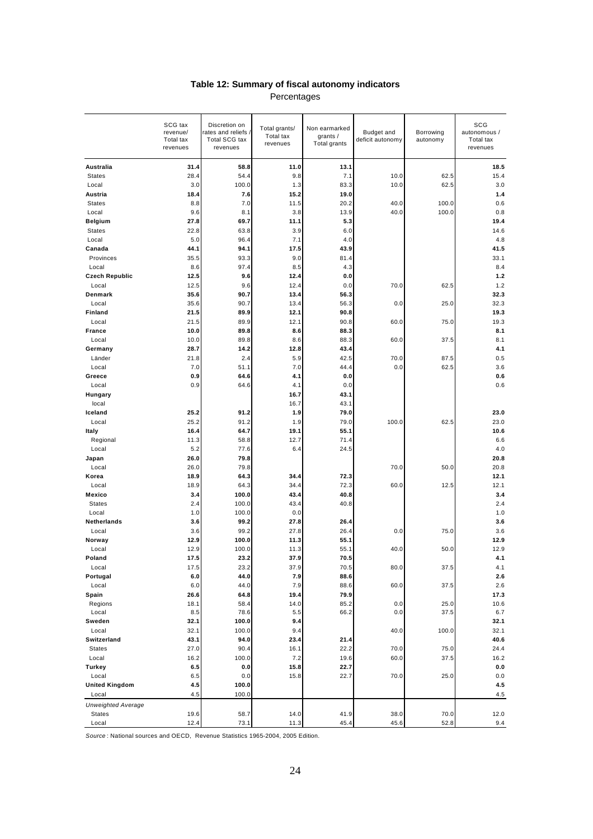| Table 12: Summary of fiscal autonomy indicators |  |  |  |  |  |  |  |
|-------------------------------------------------|--|--|--|--|--|--|--|
| Percentages                                     |  |  |  |  |  |  |  |

|                           | SCG tax<br>revenue/<br>Total tax<br>revenues | Discretion on<br>rates and reliefs<br>Total SCG tax<br>revenues | Total grants/<br>Total tax<br>revenues | Non earmarked<br>grants /<br>Total grants | <b>Budget and</b><br>deficit autonomy | Borrowing<br>autonomy | SCG<br>autonomous /<br>Total tax<br>revenues |
|---------------------------|----------------------------------------------|-----------------------------------------------------------------|----------------------------------------|-------------------------------------------|---------------------------------------|-----------------------|----------------------------------------------|
| Australia                 | 31.4                                         | 58.8                                                            | 11.0                                   | 13.1                                      |                                       |                       | 18.5                                         |
| <b>States</b>             | 28.4                                         | 54.4                                                            | 9.8                                    | 7.1                                       | 10.0                                  | 62.5                  | 15.4                                         |
| Local                     | 3.0                                          | 100.0                                                           | 1.3                                    | 83.3                                      | 10.0                                  | 62.5                  | 3.0                                          |
| Austria                   | 18.4                                         | 7.6                                                             | 15.2                                   | 19.0                                      |                                       |                       | 1.4                                          |
| <b>States</b>             | 8.8                                          | 7.0                                                             | 11.5                                   | 20.2                                      | 40.0                                  | 100.0                 | 0.6                                          |
| Local                     | 9.6                                          | 8.1                                                             | 3.8                                    | 13.9                                      | 40.0                                  | 100.0                 | 0.8                                          |
| <b>Belgium</b>            | 27.8                                         | 69.7                                                            | 11.1                                   | 5.3                                       |                                       |                       | 19.4                                         |
| <b>States</b>             | 22.8                                         | 63.8                                                            | 3.9                                    | 6.0                                       |                                       |                       | 14.6                                         |
| Local<br>Canada           | 5.0                                          | 96.4                                                            | 7.1                                    | 4.0                                       |                                       |                       | 4.8                                          |
| Provinces                 | 44.1<br>35.5                                 | 94.1<br>93.3                                                    | 17.5<br>9.0                            | 43.9<br>81.4                              |                                       |                       | 41.5<br>33.1                                 |
| Local                     | 8.6                                          | 97.4                                                            | 8.5                                    | 4.3                                       |                                       |                       | 8.4                                          |
| <b>Czech Republic</b>     | 12.5                                         | 9.6                                                             | 12.4                                   | 0.0                                       |                                       |                       | 1.2                                          |
| Local                     | 12.5                                         | 9.6                                                             | 12.4                                   | 0.0                                       | 70.0                                  | 62.5                  | 1.2                                          |
| Denmark                   | 35.6                                         | 90.7                                                            | 13.4                                   | 56.3                                      |                                       |                       | 32.3                                         |
| Local                     | 35.6                                         | 90.7                                                            | 13.4                                   | 56.3                                      | 0.0                                   | 25.0                  | 32.3                                         |
| Finland                   | 21.5                                         | 89.9                                                            | 12.1                                   | 90.8                                      |                                       |                       | 19.3                                         |
| Local                     | 21.5                                         | 89.9                                                            | 12.1                                   | 90.8                                      | 60.0                                  | 75.0                  | 19.3                                         |
| <b>France</b>             | 10.0                                         | 89.8                                                            | 8.6                                    | 88.3                                      |                                       |                       | 8.1                                          |
| Local                     | 10.0                                         | 89.8                                                            | 8.6                                    | 88.3                                      | 60.0                                  | 37.5                  | 8.1                                          |
| Germany                   | 28.7                                         | 14.2                                                            | 12.8                                   | 43.4                                      |                                       |                       | 4.1                                          |
| Länder                    | 21.8                                         | 2.4                                                             | 5.9                                    | 42.5                                      | 70.0                                  | 87.5                  | 0.5                                          |
| Local                     | 7.0                                          | 51.1                                                            | 7.0                                    | 44.4                                      | 0.0                                   | 62.5                  | 3.6                                          |
| Greece                    | 0.9                                          | 64.6                                                            | 4.1                                    | 0.0                                       |                                       |                       | 0.6                                          |
| Local                     | 0.9                                          | 64.6                                                            | 4.1                                    | 0.0                                       |                                       |                       | 0.6                                          |
| Hungary                   |                                              |                                                                 | 16.7                                   | 43.1                                      |                                       |                       |                                              |
| local                     |                                              |                                                                 | 16.7                                   | 43.1                                      |                                       |                       |                                              |
| Iceland                   | 25.2                                         | 91.2                                                            | 1.9                                    | 79.0                                      |                                       |                       | 23.0                                         |
| Local                     | 25.2                                         | 91.2                                                            | 1.9                                    | 79.0                                      | 100.0                                 | 62.5                  | 23.0                                         |
| Italy                     | 16.4                                         | 64.7                                                            | 19.1                                   | 55.1                                      |                                       |                       | 10.6<br>6.6                                  |
| Regional<br>Local         | 11.3<br>5.2                                  | 58.8<br>77.6                                                    | 12.7<br>6.4                            | 71.4<br>24.5                              |                                       |                       | 4.0                                          |
| Japan                     | 26.0                                         | 79.8                                                            |                                        |                                           |                                       |                       | 20.8                                         |
| Local                     | 26.0                                         | 79.8                                                            |                                        |                                           | 70.0                                  | 50.0                  | 20.8                                         |
| Korea                     | 18.9                                         | 64.3                                                            | 34.4                                   | 72.3                                      |                                       |                       | 12.1                                         |
| Local                     | 18.9                                         | 64.3                                                            | 34.4                                   | 72.3                                      | 60.0                                  | 12.5                  | 12.1                                         |
| Mexico                    | 3.4                                          | 100.0                                                           | 43.4                                   | 40.8                                      |                                       |                       | 3.4                                          |
| <b>States</b>             | 2.4                                          | 100.0                                                           | 43.4                                   | 40.8                                      |                                       |                       | 2.4                                          |
| Local                     | 1.0                                          | 100.0                                                           | 0.0                                    |                                           |                                       |                       | 1.0                                          |
| Netherlands               | 3.6                                          | 99.2                                                            | 27.8                                   | 26.4                                      |                                       |                       | 3.6                                          |
| Local                     | 3.6                                          | 99.2                                                            | 27.8                                   | 26.4                                      | 0.0                                   | 75.0                  | 3.6                                          |
| Norway                    | 12.9                                         | 100.0                                                           | 11.3                                   | 55.1                                      |                                       |                       | 12.9                                         |
| Local                     | 12.9                                         | 100.0                                                           | 11.3                                   | 55.1                                      | 40.0                                  | 50.0                  | 12.9                                         |
| Poland                    | 17.5                                         | 23.<br>2                                                        | 37.9                                   | 70.5                                      |                                       |                       | 4.1                                          |
| Local                     | 17.5                                         | 23.2                                                            | 37.9                                   | 70.5                                      | 80.0                                  | 37.5                  | 4.1                                          |
| Portugal                  | 6.0                                          | 44.0                                                            | 7.9                                    | 88.6                                      |                                       |                       | 2.6                                          |
| Local                     | 6.0                                          | 44.0                                                            | 7.9                                    | 88.6                                      | 60.0                                  | 37.5                  | 2.6                                          |
| Spain<br>Regions          | 26.6<br>18.1                                 | 64.8<br>58.4                                                    | 19.4<br>14.0                           | 79.9<br>85.2                              | 0.0                                   | 25.0                  | 17.3<br>10.6                                 |
| Local                     | 8.5                                          | 78.6                                                            | 5.5                                    | 66.2                                      | 0.0                                   | 37.5                  | 6.7                                          |
| Sweden                    | 32.1                                         | 100.0                                                           | 9.4                                    |                                           |                                       |                       | 32.1                                         |
| Local                     | 32.1                                         | 100.0                                                           | 9.4                                    |                                           | 40.0                                  | 100.0                 | 32.1                                         |
| Switzerland               | 43.1                                         | 94.0                                                            | 23.4                                   | 21.4                                      |                                       |                       | 40.6                                         |
| <b>States</b>             | 27.0                                         | 90.4                                                            | 16.1                                   | 22.2                                      | 70.0                                  | 75.0                  | 24.4                                         |
| Local                     | 16.2                                         | 100.0                                                           | 7.2                                    | 19.6                                      | 60.0                                  | 37.5                  | 16.2                                         |
| Turkey                    | 6.5                                          | $\mathbf{0.0}$                                                  | 15.8                                   | 22.7                                      |                                       |                       | 0.0                                          |
| Local                     | 6.5                                          | 0.0                                                             | 15.8                                   | 22.7                                      | 70.0                                  | 25.0                  | 0.0                                          |
| <b>United Kingdom</b>     | 4.5                                          | 100.0                                                           |                                        |                                           |                                       |                       | 4.5                                          |
| Local                     | 4.5                                          | 100.0                                                           |                                        |                                           |                                       |                       | 4.5                                          |
| <b>Unweighted Average</b> |                                              |                                                                 |                                        |                                           |                                       |                       |                                              |
| States                    | 19.6                                         | 58.7                                                            | 14.0                                   | 41.9                                      | 38.0                                  | 70.0                  | 12.0                                         |
| Local                     | 12.4                                         | 73.1                                                            | 11.3                                   | 45.4                                      | 45.6                                  | 52.8                  | 9.4                                          |

*Source* : National sources and OECD, Revenue Statistics 1965-2004, 2005 Edition.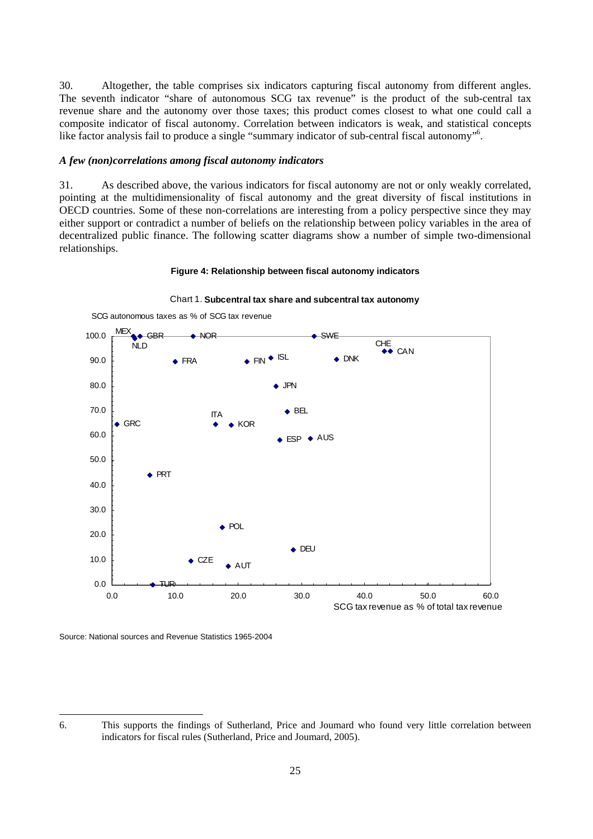<span id="page-24-0"></span>30. Altogether, the table comprises six indicators capturing fiscal autonomy from different angles. The seventh indicator "share of autonomous SCG tax revenue" is the product of the sub-central tax revenue share and the autonomy over those taxes; this product comes closest to what one could call a composite indicator of fiscal autonomy. Correlation between indicators is weak, and statistical concepts like factor analysis fail to produce a single "summary indicator of sub-central fiscal autonomy"<sup>[6](#page-24-1)</sup>.

#### *A few (non)correlations among fiscal autonomy indicators*

31. As described above, the various indicators for fiscal autonomy are not or only weakly correlated, pointing at the multidimensionality of fiscal autonomy and the great diversity of fiscal institutions in OECD countries. Some of these non-correlations are interesting from a policy perspective since they may either support or contradict a number of beliefs on the relationship between policy variables in the area of decentralized public finance. The following scatter diagrams show a number of simple two-dimensional relationships.

#### **Figure 4: Relationship between fiscal autonomy indicators**



#### Chart 1. **Subcentral tax share and subcentral tax autonomy**

Source: National sources and Revenue Statistics 1965-2004

<span id="page-24-1"></span><sup>6.</sup> This supports the findings of Sutherland, Price and Joumard who found very little correlation between indicators for fiscal rules (Sutherland, Price and Joumard, 2005).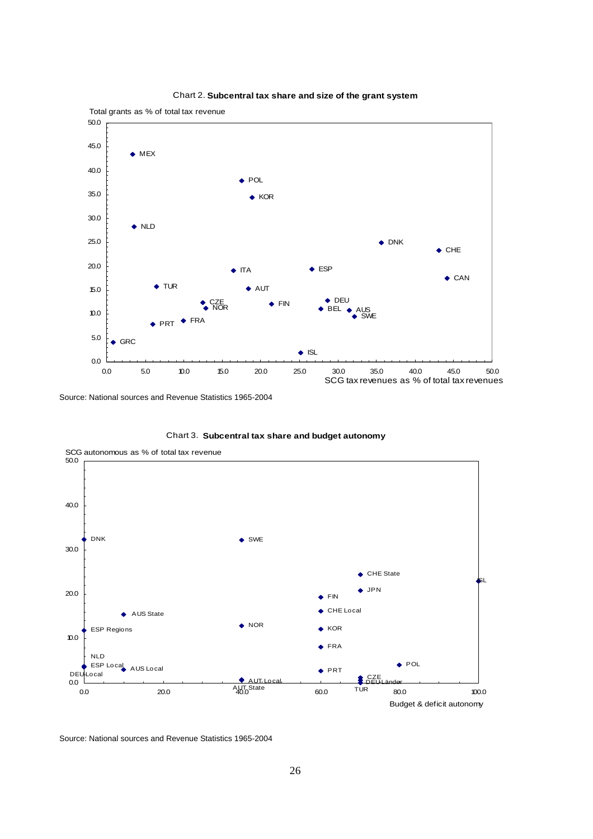

#### Chart 2. **Subcentral tax share and size of the grant system**

Source: National sources and Revenue Statistics 1965-2004



Chart 3. **Subcentral tax share and budget autonomy**

Source: National sources and Revenue Statistics 1965-2004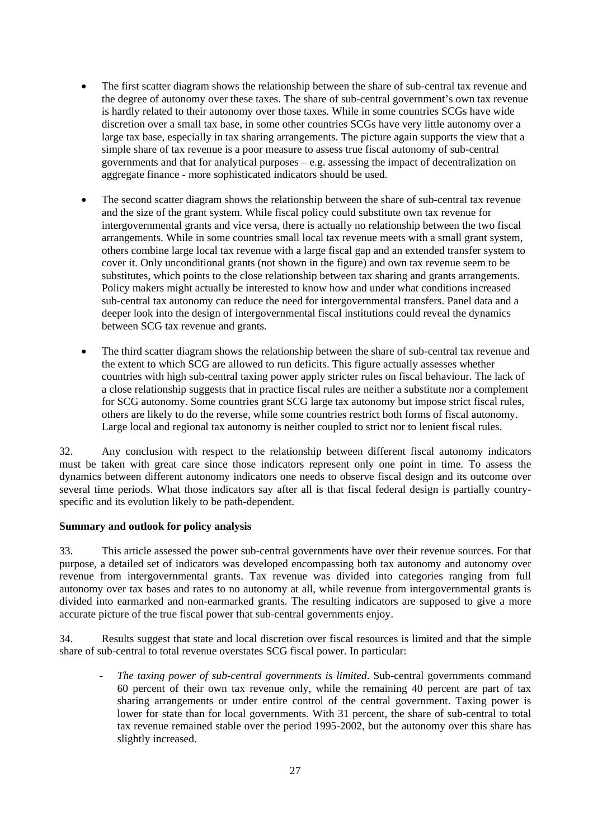- <span id="page-26-0"></span>The first scatter diagram shows the relationship between the share of sub-central tax revenue and the degree of autonomy over these taxes. The share of sub-central government's own tax revenue is hardly related to their autonomy over those taxes. While in some countries SCGs have wide discretion over a small tax base, in some other countries SCGs have very little autonomy over a large tax base, especially in tax sharing arrangements. The picture again supports the view that a simple share of tax revenue is a poor measure to assess true fiscal autonomy of sub-central governments and that for analytical purposes  $-\mathbf{e} \cdot \mathbf{g}$ , assessing the impact of decentralization on aggregate finance - more sophisticated indicators should be used.
- The second scatter diagram shows the relationship between the share of sub-central tax revenue and the size of the grant system. While fiscal policy could substitute own tax revenue for intergovernmental grants and vice versa, there is actually no relationship between the two fiscal arrangements. While in some countries small local tax revenue meets with a small grant system, others combine large local tax revenue with a large fiscal gap and an extended transfer system to cover it. Only unconditional grants (not shown in the figure) and own tax revenue seem to be substitutes, which points to the close relationship between tax sharing and grants arrangements. Policy makers might actually be interested to know how and under what conditions increased sub-central tax autonomy can reduce the need for intergovernmental transfers. Panel data and a deeper look into the design of intergovernmental fiscal institutions could reveal the dynamics between SCG tax revenue and grants.
- The third scatter diagram shows the relationship between the share of sub-central tax revenue and the extent to which SCG are allowed to run deficits. This figure actually assesses whether countries with high sub-central taxing power apply stricter rules on fiscal behaviour. The lack of a close relationship suggests that in practice fiscal rules are neither a substitute nor a complement for SCG autonomy. Some countries grant SCG large tax autonomy but impose strict fiscal rules, others are likely to do the reverse, while some countries restrict both forms of fiscal autonomy. Large local and regional tax autonomy is neither coupled to strict nor to lenient fiscal rules.

32. Any conclusion with respect to the relationship between different fiscal autonomy indicators must be taken with great care since those indicators represent only one point in time. To assess the dynamics between different autonomy indicators one needs to observe fiscal design and its outcome over several time periods. What those indicators say after all is that fiscal federal design is partially countryspecific and its evolution likely to be path-dependent.

### **Summary and outlook for policy analysis**

33. This article assessed the power sub-central governments have over their revenue sources. For that purpose, a detailed set of indicators was developed encompassing both tax autonomy and autonomy over revenue from intergovernmental grants. Tax revenue was divided into categories ranging from full autonomy over tax bases and rates to no autonomy at all, while revenue from intergovernmental grants is divided into earmarked and non-earmarked grants. The resulting indicators are supposed to give a more accurate picture of the true fiscal power that sub-central governments enjoy.

34. Results suggest that state and local discretion over fiscal resources is limited and that the simple share of sub-central to total revenue overstates SCG fiscal power. In particular:

- *The taxing power of sub-central governments is limited*. Sub-central governments command 60 percent of their own tax revenue only, while the remaining 40 percent are part of tax sharing arrangements or under entire control of the central government. Taxing power is lower for state than for local governments. With 31 percent, the share of sub-central to total tax revenue remained stable over the period 1995-2002, but the autonomy over this share has slightly increased.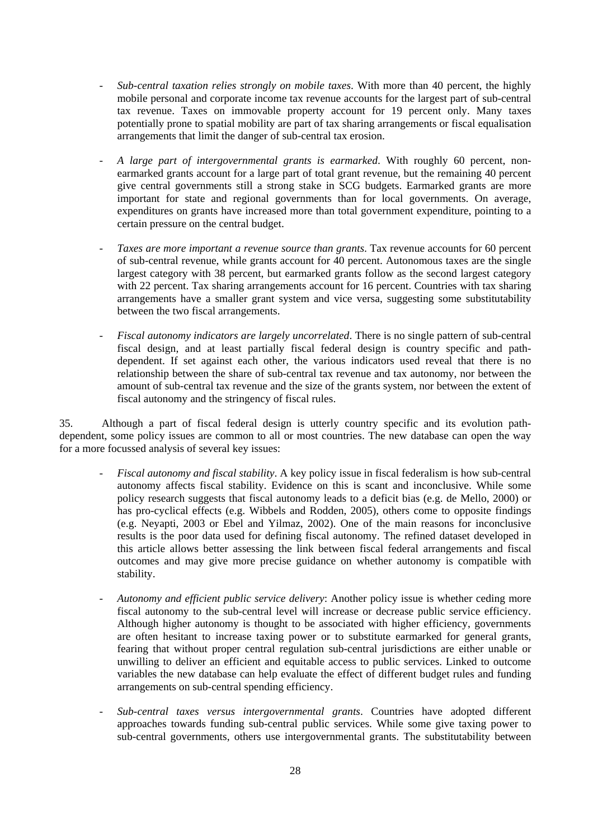- *Sub-central taxation relies strongly on mobile taxes*. With more than 40 percent, the highly mobile personal and corporate income tax revenue accounts for the largest part of sub-central tax revenue. Taxes on immovable property account for 19 percent only. Many taxes potentially prone to spatial mobility are part of tax sharing arrangements or fiscal equalisation arrangements that limit the danger of sub-central tax erosion.
- *A large part of intergovernmental grants is earmarked*. With roughly 60 percent, nonearmarked grants account for a large part of total grant revenue, but the remaining 40 percent give central governments still a strong stake in SCG budgets. Earmarked grants are more important for state and regional governments than for local governments. On average, expenditures on grants have increased more than total government expenditure, pointing to a certain pressure on the central budget.
- *Taxes are more important a revenue source than grants*. Tax revenue accounts for 60 percent of sub-central revenue, while grants account for 40 percent. Autonomous taxes are the single largest category with 38 percent, but earmarked grants follow as the second largest category with 22 percent. Tax sharing arrangements account for 16 percent. Countries with tax sharing arrangements have a smaller grant system and vice versa, suggesting some substitutability between the two fiscal arrangements.
- *Fiscal autonomy indicators are largely uncorrelated*. There is no single pattern of sub-central fiscal design, and at least partially fiscal federal design is country specific and pathdependent. If set against each other, the various indicators used reveal that there is no relationship between the share of sub-central tax revenue and tax autonomy, nor between the amount of sub-central tax revenue and the size of the grants system, nor between the extent of fiscal autonomy and the stringency of fiscal rules.

35. Although a part of fiscal federal design is utterly country specific and its evolution pathdependent, some policy issues are common to all or most countries. The new database can open the way for a more focussed analysis of several key issues:

- *Fiscal autonomy and fiscal stability*. A key policy issue in fiscal federalism is how sub-central autonomy affects fiscal stability. Evidence on this is scant and inconclusive. While some policy research suggests that fiscal autonomy leads to a deficit bias (e.g. de Mello, 2000) or has pro-cyclical effects (e.g. Wibbels and Rodden, 2005), others come to opposite findings (e.g. Neyapti, 2003 or Ebel and Yilmaz, 2002). One of the main reasons for inconclusive results is the poor data used for defining fiscal autonomy. The refined dataset developed in this article allows better assessing the link between fiscal federal arrangements and fiscal outcomes and may give more precise guidance on whether autonomy is compatible with stability.
- *Autonomy and efficient public service delivery*: Another policy issue is whether ceding more fiscal autonomy to the sub-central level will increase or decrease public service efficiency. Although higher autonomy is thought to be associated with higher efficiency, governments are often hesitant to increase taxing power or to substitute earmarked for general grants, fearing that without proper central regulation sub-central jurisdictions are either unable or unwilling to deliver an efficient and equitable access to public services. Linked to outcome variables the new database can help evaluate the effect of different budget rules and funding arrangements on sub-central spending efficiency.
- *Sub-central taxes versus intergovernmental grants*. Countries have adopted different approaches towards funding sub-central public services. While some give taxing power to sub-central governments, others use intergovernmental grants. The substitutability between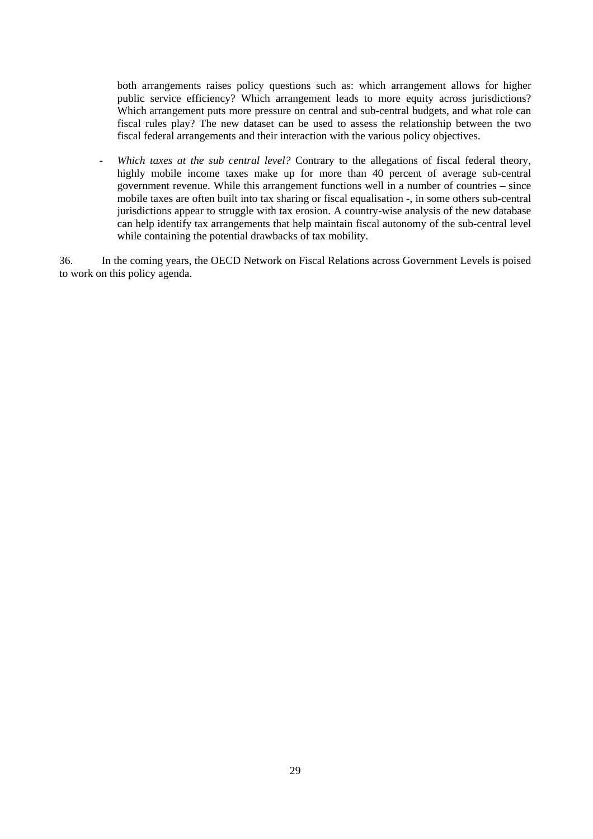both arrangements raises policy questions such as: which arrangement allows for higher public service efficiency? Which arrangement leads to more equity across jurisdictions? Which arrangement puts more pressure on central and sub-central budgets, and what role can fiscal rules play? The new dataset can be used to assess the relationship between the two fiscal federal arrangements and their interaction with the various policy objectives.

- *Which taxes at the sub central level?* Contrary to the allegations of fiscal federal theory, highly mobile income taxes make up for more than 40 percent of average sub-central government revenue. While this arrangement functions well in a number of countries – since mobile taxes are often built into tax sharing or fiscal equalisation -, in some others sub-central jurisdictions appear to struggle with tax erosion. A country-wise analysis of the new database can help identify tax arrangements that help maintain fiscal autonomy of the sub-central level while containing the potential drawbacks of tax mobility.

36. In the coming years, the OECD Network on Fiscal Relations across Government Levels is poised to work on this policy agenda.